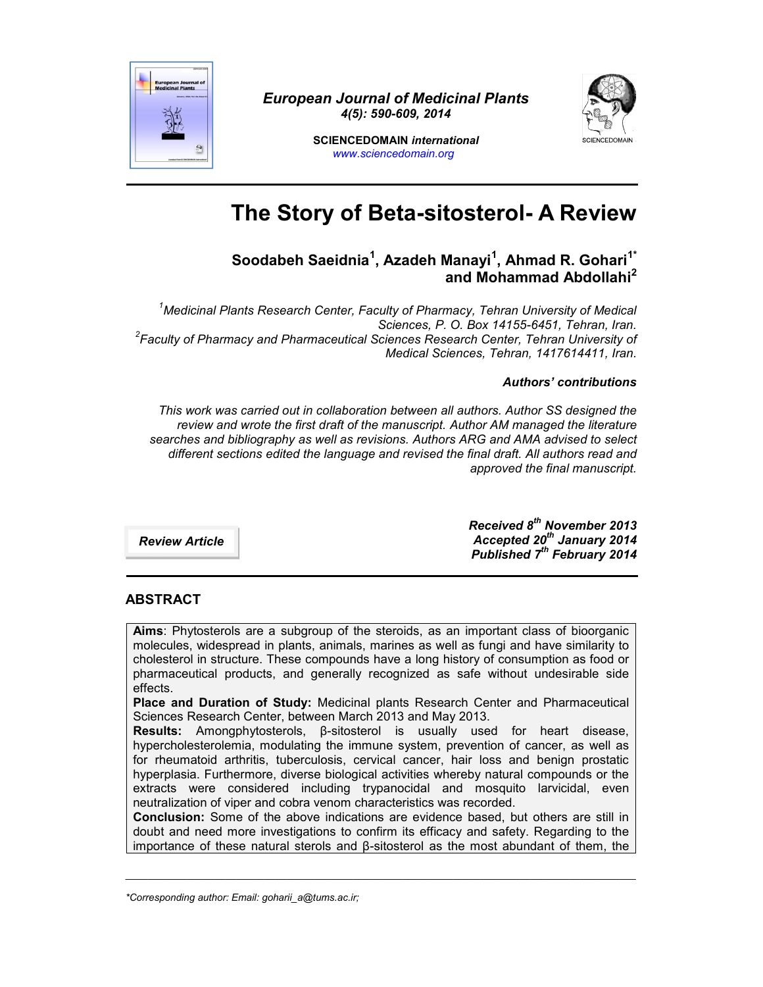

*European Journal of Medicinal Plants 4(5): 590-609, 2014*



**SCIENCEDOMAIN** *international www.sciencedomain.org*

# **The Story of Beta-sitosterol- A Review**

# **Soodabeh Saeidnia<sup>1</sup> , Azadeh Manayi<sup>1</sup> , Ahmad R. Gohari1\* and Mohammad Abdollahi<sup>2</sup>**

*<sup>1</sup>Medicinal Plants Research Center, Faculty of Pharmacy, Tehran University of Medical Sciences, P. O. Box 14155-6451, Tehran, Iran. <sup>2</sup>Faculty of Pharmacy and Pharmaceutical Sciences Research Center, Tehran University of Medical Sciences, Tehran, 1417614411, Iran.*

#### *Authors' contributions*

*This work was carried out in collaboration between all authors. Author SS designed the review and wrote the first draft of the manuscript. Author AM managed the literature searches and bibliography as well as revisions. Authors ARG and AMA advised to select different sections edited the language and revised the final draft. All authors read and approved the final manuscript.*

*Review Article*

*Received 8 th November 2013 Accepted 20th January 2014 Published 7 th February 2014*

# **ABSTRACT**

**Aims**: Phytosterols are a subgroup of the steroids, as an important class of bioorganic molecules, widespread in plants, animals, marines as well as fungi and have similarity to cholesterol in structure. These compounds have a long history of consumption as food or pharmaceutical products, and generally recognized as safe without undesirable side effects.

**Place and Duration of Study:** Medicinal plants Research Center and Pharmaceutical Sciences Research Center, between March 2013 and May 2013.

**Results:** Amongphytosterols, β-sitosterol is usually used for heart disease, hypercholesterolemia, modulating the immune system, prevention of cancer, as well as for rheumatoid arthritis, tuberculosis, cervical cancer, hair loss and benign prostatic hyperplasia. Furthermore, diverse biological activities whereby natural compounds or the extracts were considered including trypanocidal and mosquito larvicidal, even neutralization of viper and cobra venom characteristics was recorded.

**Conclusion:** Some of the above indications are evidence based, but others are still in doubt and need more investigations to confirm its efficacy and safety. Regarding to the importance of these natural sterols and β-sitosterol as the most abundant of them, the

\_\_\_\_\_\_\_\_\_\_\_\_\_\_\_\_\_\_\_\_\_\_\_\_\_\_\_\_\_\_\_\_\_\_\_\_\_\_\_\_\_\_\_\_\_\_\_\_\_\_\_\_\_\_\_\_\_\_\_\_\_\_\_\_\_\_\_\_\_\_\_\_\_\_\_\_\_\_\_\_\_\_\_\_\_\_\_\_\_\_\_\_

*<sup>\*</sup>Corresponding author: Email: goharii\_a@tums.ac.ir;*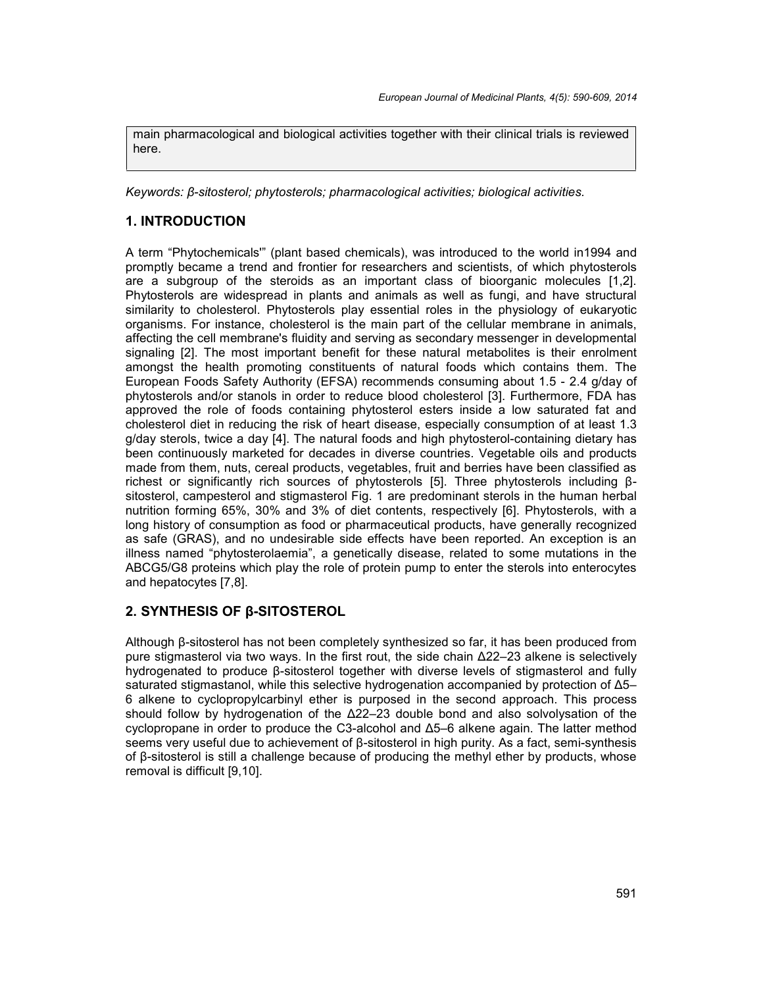main pharmacological and biological activities together with their clinical trials is reviewed here.

*Keywords: β-sitosterol; phytosterols; pharmacological activities; biological activities.*

## **1. INTRODUCTION**

A term "Phytochemicals'" (plant based chemicals), was introduced to the world in1994 and promptly became a trend and frontier for researchers and scientists, of which phytosterols are a subgroup of the steroids as an important class of bioorganic molecules [1,2]. Phytosterols are widespread in plants and animals as well as fungi, and have structural similarity to cholesterol. Phytosterols play essential roles in the physiology of eukaryotic organisms. For instance, cholesterol is the main part of the cellular membrane in animals, affecting the cell membrane's fluidity and serving as secondary messenger in developmental signaling [2]. The most important benefit for these natural metabolites is their enrolment amongst the health promoting constituents of natural foods which contains them. The European Foods Safety Authority (EFSA) recommends consuming about 1.5 - 2.4 g/day of phytosterols and/or stanols in order to reduce blood cholesterol [3]. Furthermore, FDA has approved the role of foods containing phytosterol esters inside a low saturated fat and cholesterol diet in reducing the risk of heart disease, especially consumption of at least 1.3 g/day sterols, twice a day [4]. The natural foods and high phytosterol-containing dietary has been continuously marketed for decades in diverse countries. Vegetable oils and products made from them, nuts, cereal products, vegetables, fruit and berries have been classified as richest or significantly rich sources of phytosterols [5]. Three phytosterols including β sitosterol, campesterol and stigmasterol Fig. 1 are predominant sterols in the human herbal nutrition forming 65%, 30% and 3% of diet contents, respectively [6]. Phytosterols, with a long history of consumption as food or pharmaceutical products, have generally recognized as safe (GRAS), and no undesirable side effects have been reported. An exception is an illness named "phytosterolaemia", a genetically disease, related to some mutations in the ABCG5/G8 proteins which play the role of protein pump to enter the sterols into enterocytes and hepatocytes [7,8].

#### **2. SYNTHESIS OF β-SITOSTEROL**

Although β-sitosterol has not been completely synthesized so far, it has been produced from pure stigmasterol via two ways. In the first rout, the side chain Δ22–23 alkene is selectively hydrogenated to produce β-sitosterol together with diverse levels of stigmasterol and fully saturated stigmastanol, while this selective hydrogenation accompanied by protection of Δ5– 6 alkene to cyclopropylcarbinyl ether is purposed in the second approach. This process should follow by hydrogenation of the Δ22–23 double bond and also solvolysation of the cyclopropane in order to produce the C3-alcohol and Δ5–6 alkene again. The latter method seems very useful due to achievement of β-sitosterol in high purity. As a fact, semi-synthesis of β-sitosterol is still a challenge because of producing the methyl ether by products, whose removal is difficult [9,10].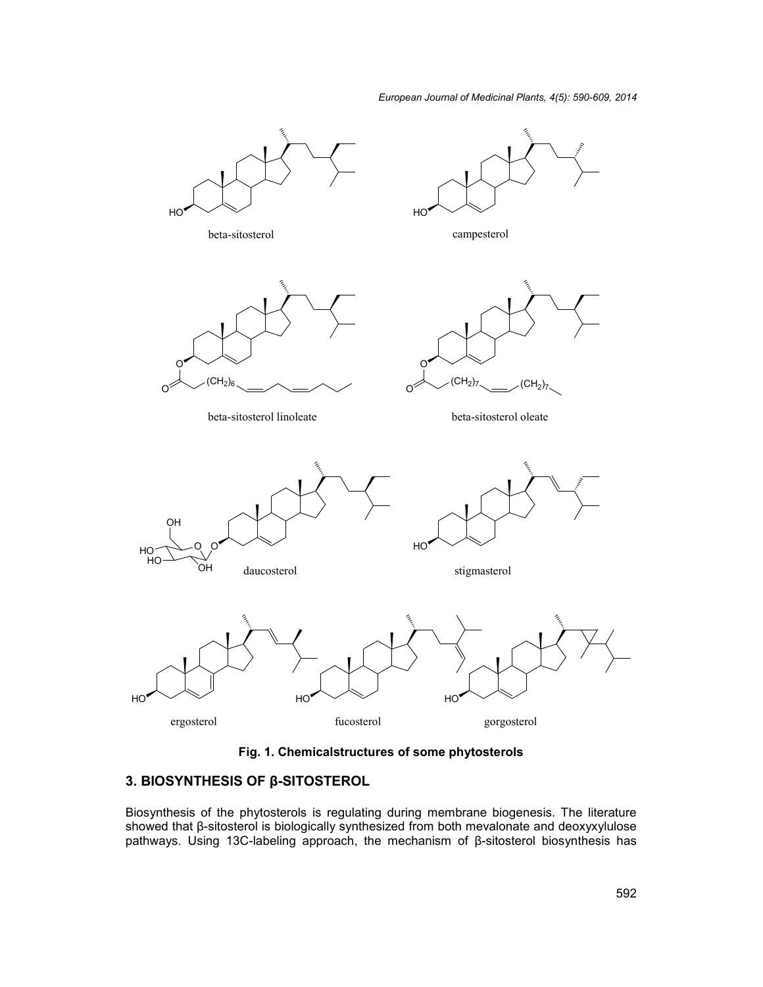

**Fig. 1. Chemicalstructures of some phytosterols**

# **3. BIOSYNTHESIS OF β-SITOSTEROL**

Biosynthesis of the phytosterols is regulating during membrane biogenesis. The literature showed that β-sitosterol is biologically synthesized from both mevalonate and deoxyxylulose pathways. Using 13C-labeling approach, the mechanism of β-sitosterol biosynthesis has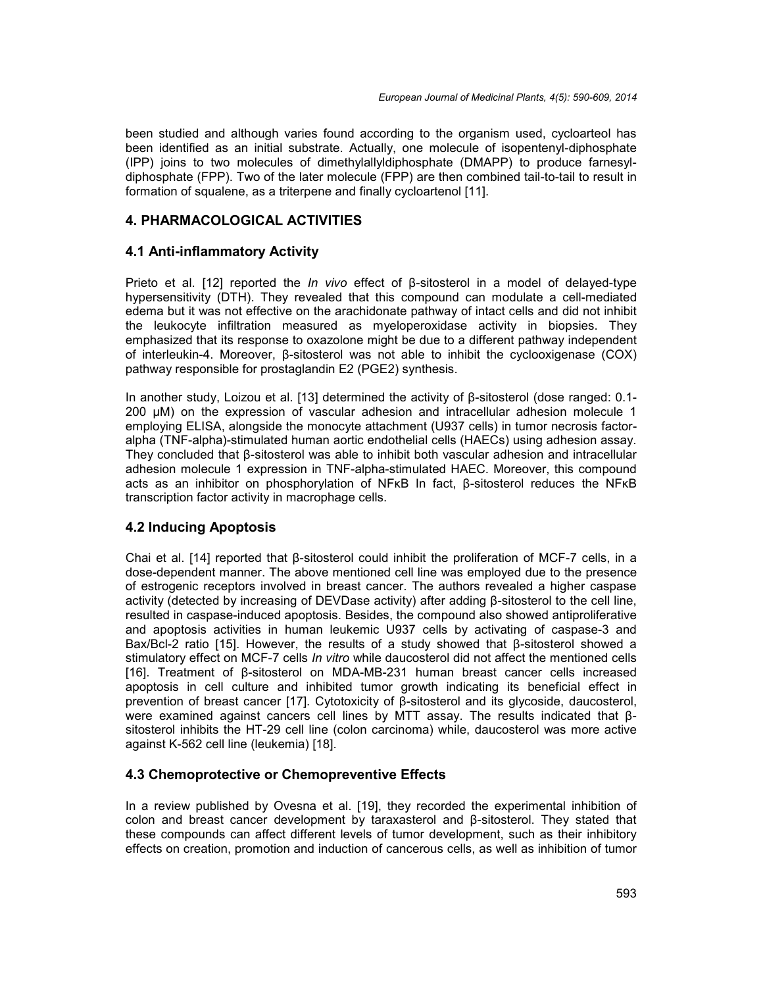been studied and although varies found according to the organism used, cycloarteol has been identified as an initial substrate. Actually, one molecule of isopentenyl-diphosphate (IPP) joins to two molecules of dimethylallyldiphosphate (DMAPP) to produce farnesyl diphosphate (FPP). Two of the later molecule (FPP) are then combined tail-to-tail to result in formation of squalene, as a triterpene and finally cycloartenol [11].

## **4. PHARMACOLOGICAL ACTIVITIES**

## **4.1 Anti-inflammatory Activity**

Prieto et al. [12] reported the *In vivo* effect of β-sitosterol in a model of delayed-type hypersensitivity (DTH). They revealed that this compound can modulate a cell-mediated edema but it was not effective on the arachidonate pathway of intact cells and did not inhibit the leukocyte infiltration measured as myeloperoxidase activity in biopsies. They emphasized that its response to oxazolone might be due to a different pathway independent of interleukin-4. Moreover, β-sitosterol was not able to inhibit the cyclooxigenase (COX) pathway responsible for prostaglandin E2 (PGE2) synthesis.

In another study, Loizou et al. [13] determined the activity of β-sitosterol (dose ranged: 0.1- 200 µM) on the expression of vascular adhesion and intracellular adhesion molecule 1 employing ELISA, alongside the monocyte attachment (U937 cells) in tumor necrosis factor alpha (TNF-alpha)-stimulated human aortic endothelial cells (HAECs) using adhesion assay. They concluded that β-sitosterol was able to inhibit both vascular adhesion and intracellular adhesion molecule 1 expression in TNF-alpha-stimulated HAEC. Moreover, this compound acts as an inhibitor on phosphorylation of NFκB In fact, β-sitosterol reduces the NFκB transcription factor activity in macrophage cells.

#### **4.2 Inducing Apoptosis**

Chai et al. [14] reported that β-sitosterol could inhibit the proliferation of MCF-7 cells, in a dose-dependent manner. The above mentioned cell line was employed due to the presence of estrogenic receptors involved in breast cancer. The authors revealed a higher caspase activity (detected by increasing of DEVDase activity) after adding β-sitosterol to the cell line, resulted in caspase-induced apoptosis. Besides, the compound also showed antiproliferative and apoptosis activities in human leukemic U937 cells by activating of caspase-3 and Bax/Bcl-2 ratio [15]. However, the results of a study showed that β-sitosterol showed a stimulatory effect on MCF-7 cells *In vitro* while daucosterol did not affect the mentioned cells [16]. Treatment of β-sitosterol on MDA-MB-231 human breast cancer cells increased apoptosis in cell culture and inhibited tumor growth indicating its beneficial effect in prevention of breast cancer [17]. Cytotoxicity of β-sitosterol and its glycoside, daucosterol, were examined against cancers cell lines by MTT assay. The results indicated that β sitosterol inhibits the HT-29 cell line (colon carcinoma) while, daucosterol was more active against K-562 cell line (leukemia) [18].

#### **4.3 Chemoprotective or Chemopreventive Effects**

In a review published by Ovesna et al. [19], they recorded the experimental inhibition of colon and breast cancer development by taraxasterol and β-sitosterol. They stated that these compounds can affect different levels of tumor development, such as their inhibitory effects on creation, promotion and induction of cancerous cells, as well as inhibition of tumor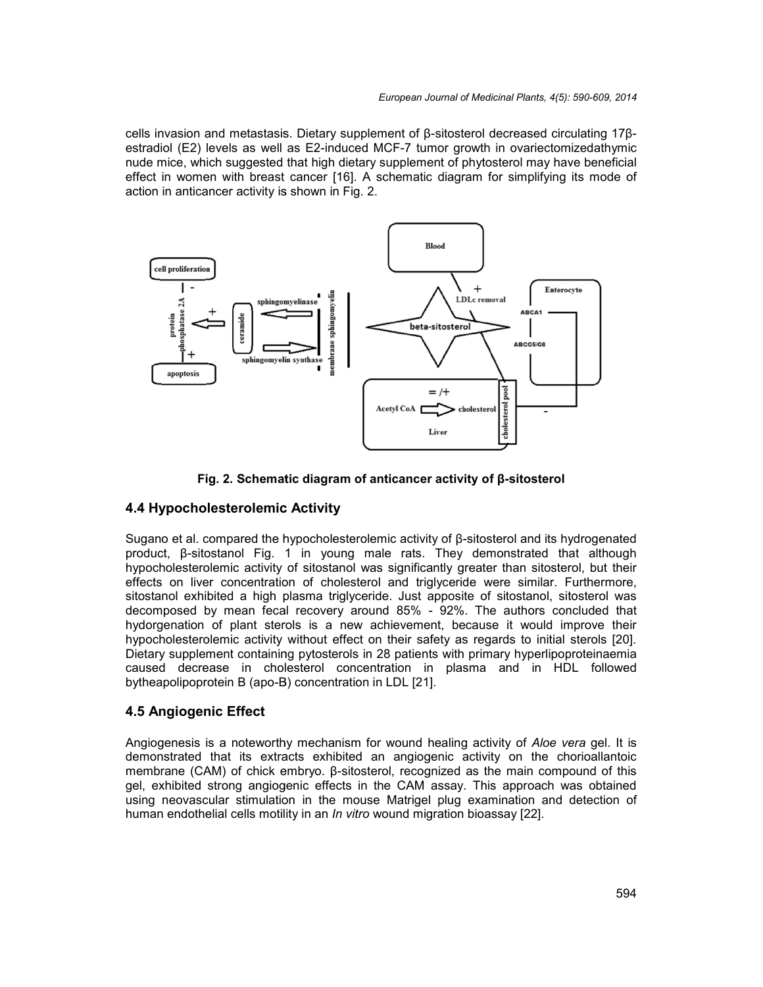cells invasion and metastasis. Dietary supplement of β-sitosterol decreased circulating 17β estradiol (E2) levels as well as E2-induced MCF-7 tumor growth in ovariectomizedathymic nude mice, which suggested that high dietary supplement of phytosterol may have beneficial effect in women with breast cancer [16]. A schematic diagram for simplifying its mode of action in anticancer activity is shown in Fig. 2. cells invasion and metastasis. Dietary supplement of β-sitosterol decreased circulating 17β-<br>estradiol (E2) levels as well as E2-induced MCF-7 tumor growth in ovariectomizedathymic<br>nude mice, which suggested that high die



**Fig. 2. Schematic diagram of anticancer activity of β-sitosterol** 

# **4.4 Hypocholesterolemic Activity**

Sugano et al. compared the hypocholesterolemic activity of β-sitosterol and its hydrogenated product, β-sitostanol Fig. 1 in young male rats. They demonstrated that although hypocholesterolemic activity of sitostanol was significantly greater than sitosterol, but their effects on liver concentration of cholesterol and triglyceride were similar. Furthermore, sitostanol exhibited a high plasma triglyceride. Just apposite of sitostanol, sitosterol was decomposed by mean fecal recovery around 85% - 92%. The authors concluded that hydorgenation of plant sterols is a new achievement, because it would improve their hypocholesterolemic activity without effect on their safety as regards to initial sterols [20]. Dietary supplement containing pytosterols in 28 patients with primary hyperlipoproteinaemia caused decrease in cholesterol concentration in plasma and in HDL followed bytheapolipoprotein B (apo-B) concentration in LDL [21]. d the hypocholesterolemic activity of β-sitosterol and its hydrogenated<br>Fig. 1 in young male rats. They demonstrated that although<br>ctivity of sitostanol was significantly greater than sitosterol, but their<br>ntration of cho fecal recovery around 85% - 92%. The authors concluded that<br>sterols is a new achievement, because it would improve their<br>ivity without effect on their safety as regards to initial sterols [20].<br>aining pytosterols in 28 pat

# **4.5 Angiogenic Effect Angiogenic**

Angiogenesis is a noteworthy mechanism for wound healing activity of *Aloe vera* gel. It is Angiogenesis is a noteworthy mechanism for wound healing activity of *Aloe vera* gel. It is<br>demonstrated that its extracts exhibited an angiogenic activity on the chorioallantoic membrane (CAM) of chick embryo. β-sitosterol, recognized as the main compound of this membrane (CAM) of chick embryo. β-sitosterol, recognized as the main compound of this<br>gel, exhibited strong angiogenic effects in the CAM assay. This approach was obtained using neovascular stimulation in the mouse Matrigel plug examination and detection of human endothelial cells motility in an *In vitro* wound migration bioassay [22]. *Invitro*wound migration bioassay [22].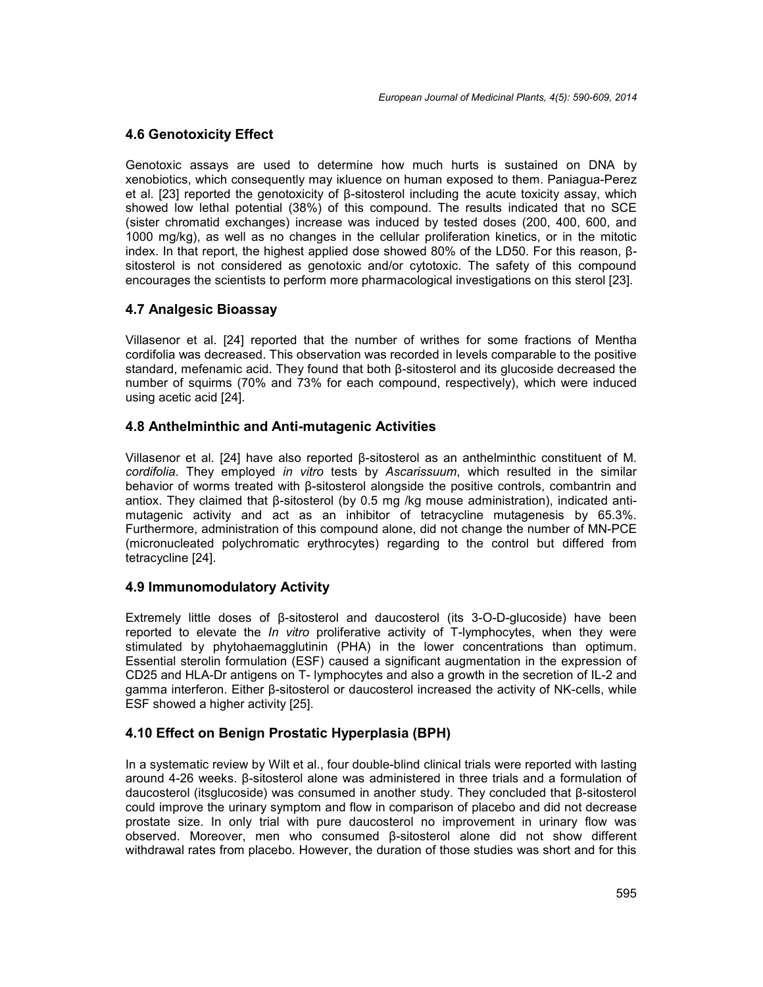## **4.6 Genotoxicity Effect**

Genotoxic assays are used to determine how much hurts is sustained on DNA by xenobiotics, which consequently may iκluence on human exposed to them. Paniagua-Perez et al. [23] reported the genotoxicity of β-sitosterol including the acute toxicity assay, which showed low lethal potential (38%) of this compound. The results indicated that no SCE (sister chromatid exchanges) increase was induced by tested doses (200, 400, 600, and 1000 mg/kg), as well as no changes in the cellular proliferation kinetics, or in the mitotic index. In that report, the highest applied dose showed 80% of the LD50. For this reason, β sitosterol is not considered as genotoxic and/or cytotoxic. The safety of this compound encourages the scientists to perform more pharmacological investigations on this sterol [23].

## **4.7 Analgesic Bioassay**

Villasenor et al. [24] reported that the number of writhes for some fractions of Mentha cordifolia was decreased. This observation was recorded in levels comparable to the positive standard, mefenamic acid. They found that both β-sitosterol and its glucoside decreased the number of squirms (70% and 73% for each compound, respectively), which were induced using acetic acid [24].

## **4.8 Anthelminthic and Anti-mutagenic Activities**

Villasenor et al. [24] have also reported β-sitosterol as an anthelminthic constituent of M. *cordifolia*. They employed *in vitro* tests by *Ascarissuum*, which resulted in the similar behavior of worms treated with β-sitosterol alongside the positive controls, combantrin and antiox. They claimed that β-sitosterol (by 0.5 mg /kg mouse administration), indicated anti mutagenic activity and act as an inhibitor of tetracycline mutagenesis by 65.3%. Furthermore, administration of this compound alone, did not change the number of MN-PCE (micronucleated polychromatic erythrocytes) regarding to the control but differed from tetracycline [24].

#### **4.9 Immunomodulatory Activity**

Extremely little doses of β-sitosterol and daucosterol (its 3-O-D-glucoside) have been reported to elevate the *In vitro* proliferative activity of T-lymphocytes, when they were stimulated by phytohaemagglutinin (PHA) in the lower concentrations than optimum. Essential sterolin formulation (ESF) caused a significant augmentation in the expression of CD25 and HLA-Dr antigens on T- lymphocytes and also a growth in the secretion of IL-2 and gamma interferon. Either β-sitosterol or daucosterol increased the activity of NK-cells, while ESF showed a higher activity [25].

# **4.10 Effect on Benign Prostatic Hyperplasia (BPH)**

In a systematic review by Wilt et al., four double-blind clinical trials were reported with lasting around 4-26 weeks. β-sitosterol alone was administered in three trials and a formulation of daucosterol (itsglucoside) was consumed in another study. They concluded that β-sitosterol could improve the urinary symptom and flow in comparison of placebo and did not decrease prostate size. In only trial with pure daucosterol no improvement in urinary flow was observed. Moreover, men who consumed β-sitosterol alone did not show different withdrawal rates from placebo. However, the duration of those studies was short and for this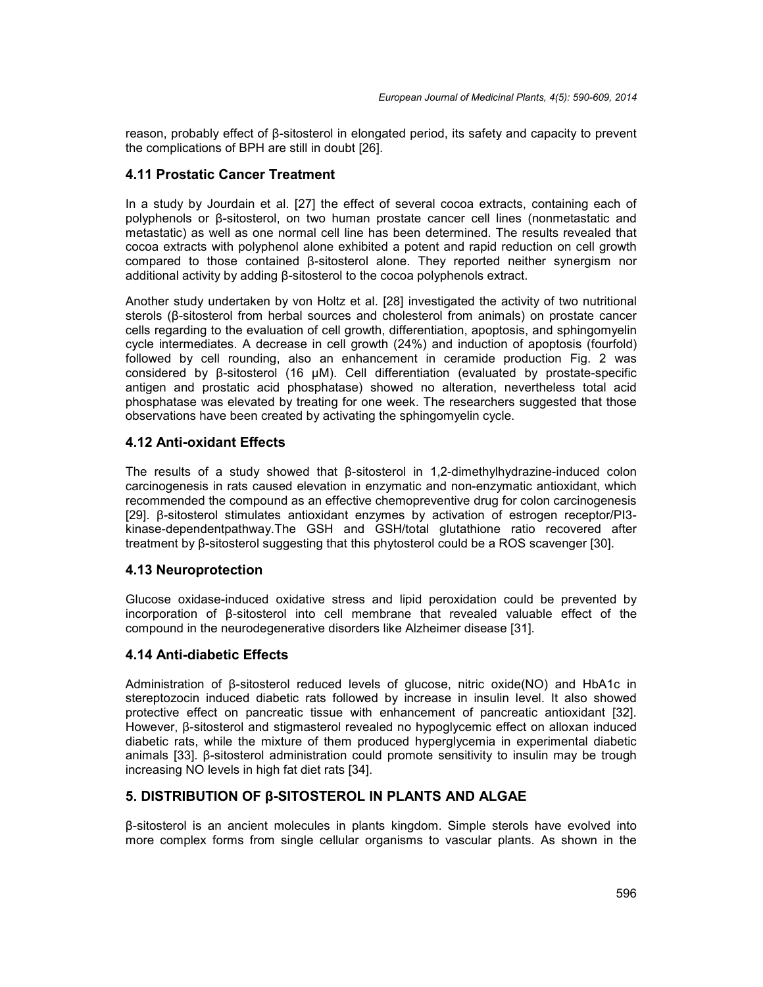reason, probably effect of β-sitosterol in elongated period, its safety and capacity to prevent the complications of BPH are still in doubt [26].

#### **4.11 Prostatic Cancer Treatment**

In a study by Jourdain et al. [27] the effect of several cocoa extracts, containing each of polyphenols or β-sitosterol, on two human prostate cancer cell lines (nonmetastatic and metastatic) as well as one normal cell line has been determined. The results revealed that cocoa extracts with polyphenol alone exhibited a potent and rapid reduction on cell growth compared to those contained β-sitosterol alone. They reported neither synergism nor additional activity by adding β-sitosterol to the cocoa polyphenols extract.

Another study undertaken by von Holtz et al. [28] investigated the activity of two nutritional sterols (β-sitosterol from herbal sources and cholesterol from animals) on prostate cancer cells regarding to the evaluation of cell growth, differentiation, apoptosis, and sphingomyelin cycle intermediates. A decrease in cell growth (24%) and induction of apoptosis (fourfold) followed by cell rounding, also an enhancement in ceramide production Fig. 2 was considered by β-sitosterol (16 µM). Cell differentiation (evaluated by prostate-specific antigen and prostatic acid phosphatase) showed no alteration, nevertheless total acid phosphatase was elevated by treating for one week. The researchers suggested that those observations have been created by activating the sphingomyelin cycle.

#### **4.12 Anti-oxidant Effects**

The results of a study showed that β-sitosterol in 1,2-dimethylhydrazine-induced colon carcinogenesis in rats caused elevation in enzymatic and non-enzymatic antioxidant, which recommended the compound as an effective chemopreventive drug for colon carcinogenesis [29]. β-sitosterol stimulates antioxidant enzymes by activation of estrogen receptor/PI3 kinase-dependentpathway.The GSH and GSH/total glutathione ratio recovered after treatment by β-sitosterol suggesting that this phytosterol could be a ROS scavenger [30].

#### **4.13 Neuroprotection**

Glucose oxidase-induced oxidative stress and lipid peroxidation could be prevented by incorporation of β-sitosterol into cell membrane that revealed valuable effect of the compound in the neurodegenerative disorders like Alzheimer disease [31].

#### **4.14 Anti-diabetic Effects**

Administration of β-sitosterol reduced levels of glucose, nitric oxide(NO) and HbA1c in stereptozocin induced diabetic rats followed by increase in insulin level. It also showed protective effect on pancreatic tissue with enhancement of pancreatic antioxidant [32]. However, β-sitosterol and stigmasterol revealed no hypoglycemic effect on alloxan induced diabetic rats, while the mixture of them produced hyperglycemia in experimental diabetic animals [33]. β-sitosterol administration could promote sensitivity to insulin may be trough increasing NO levels in high fat diet rats [34].

#### **5. DISTRIBUTION OF β-SITOSTEROL IN PLANTS AND ALGAE**

β-sitosterol is an ancient molecules in plants kingdom. Simple sterols have evolved into more complex forms from single cellular organisms to vascular plants. As shown in the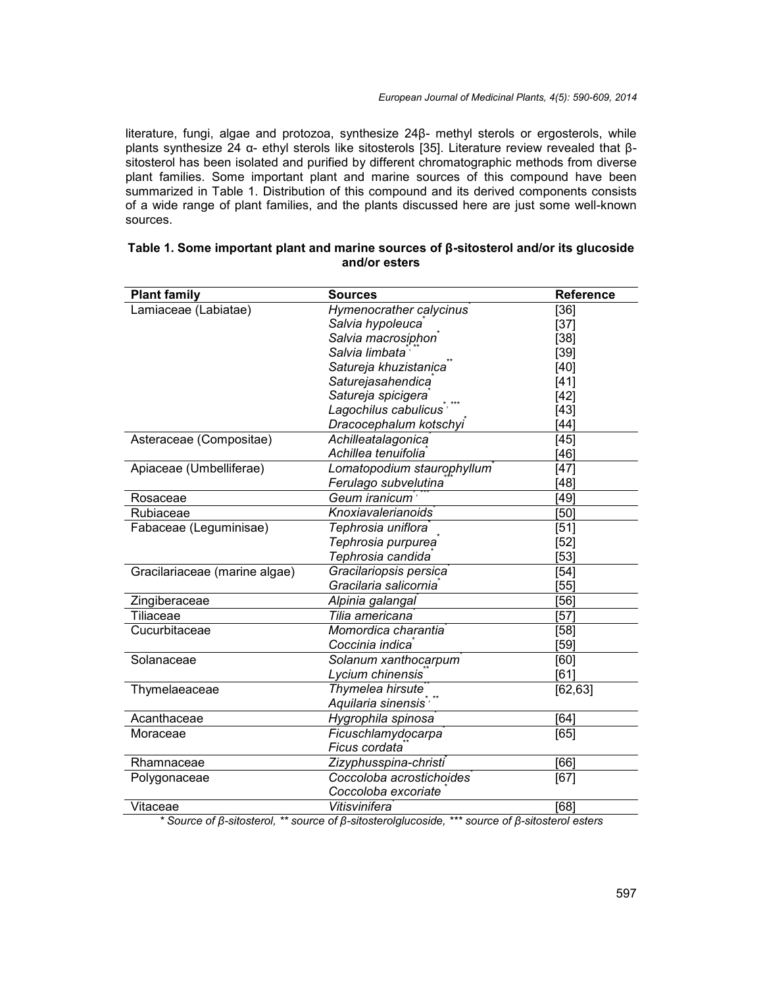literature, fungi, algae and protozoa, synthesize 24β- methyl sterols or ergosterols, while plants synthesize 24 α- ethyl sterols like sitosterols [35]. Literature review revealed that β sitosterol has been isolated and purified by different chromatographic methods from diverse plant families. Some important plant and marine sources of this compound have been summarized in Table 1. Distribution of this compound and its derived components consists of a wide range of plant families, and the plants discussed here are just some well-known sources.

| <b>Plant family</b>           | <b>Sources</b>                                                                                  | Reference |
|-------------------------------|-------------------------------------------------------------------------------------------------|-----------|
| Lamiaceae (Labiatae)          | Hymenocrather calycinus                                                                         | $[36]$    |
|                               | Salvia hypoleuca                                                                                | $[37]$    |
|                               | Salvia macrosiphon                                                                              | $[38]$    |
|                               | Salvia limbata                                                                                  | $[39]$    |
|                               | Satureja khuzistanica                                                                           | $[40]$    |
|                               | Saturejasahendica                                                                               | $[41]$    |
|                               | Satureja spicigera                                                                              | $[42]$    |
|                               | Lagochilus cabulicus <sup>*</sup>                                                               | $[43]$    |
|                               | Dracocephalum kotschyi                                                                          | [44]      |
| Asteraceae (Compositae)       | Achilleatalagonica                                                                              | $[45]$    |
|                               | Achillea tenuifolia                                                                             | [46]      |
| Apiaceae (Umbelliferae)       | Lomatopodium staurophyllum                                                                      | $[47]$    |
|                               | Ferulago subvelutina                                                                            | [48]      |
| Rosaceae                      | Geum iranicum <sup>®</sup>                                                                      | [49]      |
| Rubiaceae                     | Knoxiavalerianoids                                                                              | [50]      |
| Fabaceae (Leguminisae)        | Tephrosia uniflora                                                                              | $[51]$    |
|                               | Tephrosia purpurea <sup>®</sup>                                                                 | $[52]$    |
|                               | Tephrosia candida                                                                               | $[53]$    |
| Gracilariaceae (marine algae) | Gracilariopsis persica                                                                          | [54]      |
|                               | Gracilaria salicornia                                                                           | [55]      |
| Zingiberaceae                 | Alpinia galangal                                                                                | [56]      |
| Tiliaceae                     | Tilia americana                                                                                 | [57]      |
| Cucurbitaceae                 | Momordica charantia                                                                             | $[58]$    |
|                               | Coccinia indica                                                                                 | [59]      |
| Solanaceae                    | Solanum xanthocarpum                                                                            | [60]      |
|                               | Lycium chinensis                                                                                | [61]      |
| Thymelaeaceae                 | Thymelea hirsute                                                                                | [62, 63]  |
|                               | Aquilaria sinensis                                                                              |           |
| Acanthaceae                   | Hygrophila spinosa                                                                              | [64]      |
| Moraceae                      | Ficuschlamydocarpa                                                                              | [65]      |
|                               | Ficus cordata                                                                                   |           |
| Rhamnaceae                    | Zizyphusspina-christi                                                                           | [66]      |
| Polygonaceae                  | Coccoloba acrostichoides                                                                        | [67]      |
|                               | Coccoloba excoriate                                                                             |           |
| Vitaceae                      | Vitisvinifera                                                                                   | [68]      |
|                               | * Source of β-sitosterol, ** source of β-sitosterolglucoside, *** source of β-sitosterol esters |           |

#### **Table 1. Some important plant and marine sources of β-sitosterol and/or its glucoside and/or esters**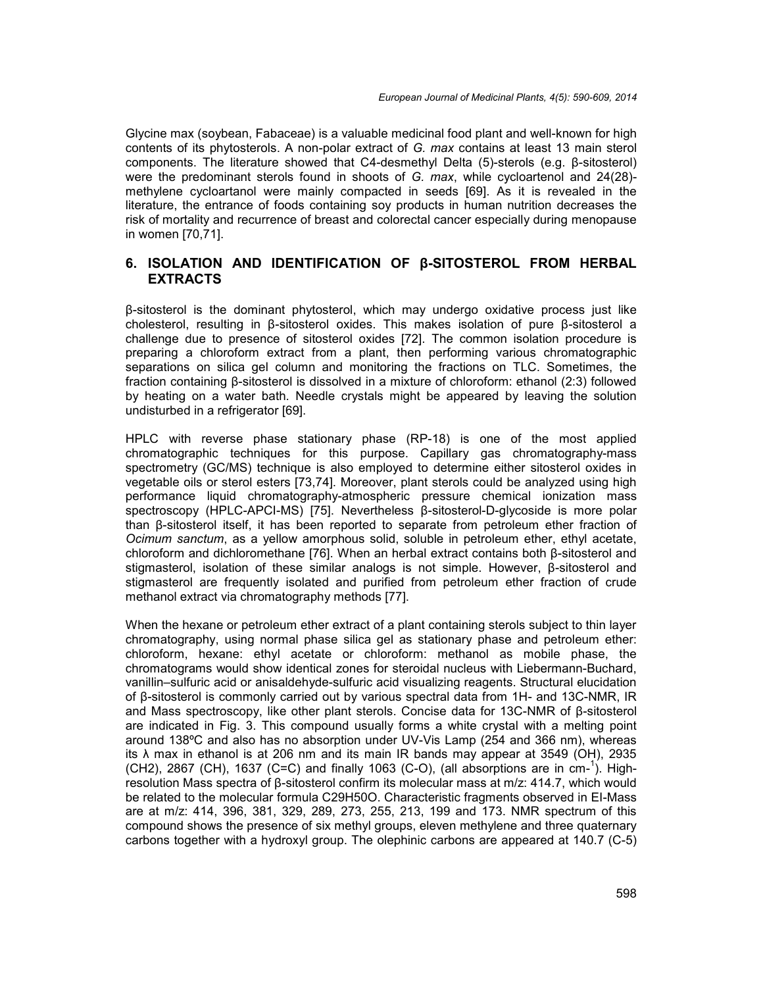Glycine max (soybean, Fabaceae) is a valuable medicinal food plant and well-known for high contents of its phytosterols. A non-polar extract of *G. max* contains at least 13 main sterol components. The literature showed that C4-desmethyl Delta (5)-sterols (e.g. β-sitosterol) were the predominant sterols found in shoots of *G. max*, while cycloartenol and 24(28) methylene cycloartanol were mainly compacted in seeds [69]. As it is revealed in the literature, the entrance of foods containing soy products in human nutrition decreases the risk of mortality and recurrence of breast and colorectal cancer especially during menopause in women [70,71].

## **6. ISOLATION AND IDENTIFICATION OF β-SITOSTEROL FROM HERBAL EXTRACTS**

β-sitosterol is the dominant phytosterol, which may undergo oxidative process just like cholesterol, resulting in β-sitosterol oxides. This makes isolation of pure β-sitosterol a challenge due to presence of sitosterol oxides [72]. The common isolation procedure is preparing a chloroform extract from a plant, then performing various chromatographic separations on silica gel column and monitoring the fractions on TLC. Sometimes, the fraction containing β-sitosterol is dissolved in a mixture of chloroform: ethanol (2:3) followed by heating on a water bath. Needle crystals might be appeared by leaving the solution undisturbed in a refrigerator [69].

HPLC with reverse phase stationary phase (RP-18) is one of the most applied chromatographic techniques for this purpose. Capillary gas chromatography-mass spectrometry (GC/MS) technique is also employed to determine either sitosterol oxides in vegetable oils or sterol esters [73,74]. Moreover, plant sterols could be analyzed using high performance liquid chromatography-atmospheric pressure chemical ionization mass spectroscopy (HPLC-APCI-MS) [75]. Nevertheless β-sitosterol-D-glycoside is more polar than β-sitosterol itself, it has been reported to separate from petroleum ether fraction of *Ocimum sanctum*, as a yellow amorphous solid, soluble in petroleum ether, ethyl acetate, chloroform and dichloromethane [76]. When an herbal extract contains both β-sitosterol and stigmasterol, isolation of these similar analogs is not simple. However, β-sitosterol and stigmasterol are frequently isolated and purified from petroleum ether fraction of crude methanol extract via chromatography methods [77].

When the hexane or petroleum ether extract of a plant containing sterols subject to thin layer chromatography, using normal phase silica gel as stationary phase and petroleum ether: chloroform, hexane: ethyl acetate or chloroform: methanol as mobile phase, the chromatograms would show identical zones for steroidal nucleus with Liebermann-Buchard, vanillin–sulfuric acid or anisaldehyde-sulfuric acid visualizing reagents. Structural elucidation of β-sitosterol is commonly carried out by various spectral data from 1H- and 13C-NMR, IR and Mass spectroscopy, like other plant sterols. Concise data for 13C-NMR of β-sitosterol are indicated in Fig. 3. This compound usually forms a white crystal with a melting point around 138ºC and also has no absorption under UV-Vis Lamp (254 and 366 nm), whereas its λ max in ethanol is at 206 nm and its main IR bands may appear at 3549 (OH), 2935 (CH2), 2867 (CH), 1637 (C=C) and finally 1063 (C-O), (all absorptions are in cm-1). Highresolution Mass spectra of β-sitosterol confirm its molecular mass at m/z: 414.7, which would be related to the molecular formula C29H50O. Characteristic fragments observed in EI-Mass are at m/z: 414, 396, 381, 329, 289, 273, 255, 213, 199 and 173. NMR spectrum of this compound shows the presence of six methyl groups, eleven methylene and three quaternary carbons together with a hydroxyl group. The olephinic carbons are appeared at 140.7 (C-5)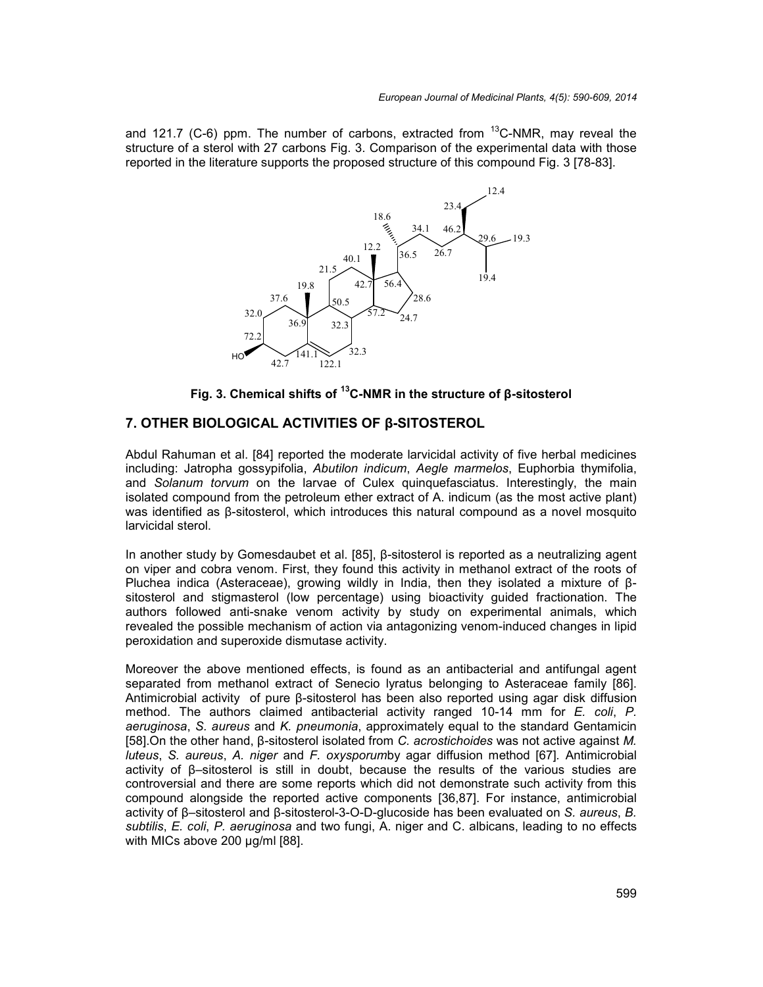and 121.7 (C-6) ppm. The number of carbons, extracted from  $^{13}$ C-NMR, may reveal the structure of a sterol with 27 carbons Fig. 3. Comparison of the experimental data with those reported in the literature supports the proposed structure of this compound Fig. 3 [78-83].



**Fig. 3. Chemical shifts of <sup>13</sup>C-NMR in the structure of β-sitosterol**

# **7. OTHER BIOLOGICAL ACTIVITIES OF β-SITOSTEROL**

Abdul Rahuman et al. [84] reported the moderate larvicidal activity of five herbal medicines including: Jatropha gossypifolia, *Abutilon indicum*, *Aegle marmelos*, Euphorbia thymifolia, and *Solanum torvum* on the larvae of Culex quinquefasciatus. Interestingly, the main isolated compound from the petroleum ether extract of A. indicum (as the most active plant) was identified as β-sitosterol, which introduces this natural compound as a novel mosquito larvicidal sterol.

In another study by Gomesdaubet et al. [85], β-sitosterol is reported as a neutralizing agent on viper and cobra venom. First, they found this activity in methanol extract of the roots of Pluchea indica (Asteraceae), growing wildly in India, then they isolated a mixture of β sitosterol and stigmasterol (low percentage) using bioactivity guided fractionation. The authors followed anti-snake venom activity by study on experimental animals, which revealed the possible mechanism of action via antagonizing venom-induced changes in lipid peroxidation and superoxide dismutase activity.

Moreover the above mentioned effects, is found as an antibacterial and antifungal agent separated from methanol extract of Senecio lyratus belonging to Asteraceae family [86]. Antimicrobial activity of pure β-sitosterol has been also reported using agar disk diffusion method. The authors claimed antibacterial activity ranged 10-14 mm for *E. coli*, *P. aeruginosa*, *S. aureus* and *K. pneumonia*, approximately equal to the standard Gentamicin [58].On the other hand, β-sitosterol isolated from *C. acrostichoides* was not active against *M. luteus*, *S. aureus*, *A. niger* and *F. oxysporum*by agar diffusion method [67]*.* Antimicrobial activity of β–sitosterol is still in doubt, because the results of the various studies are controversial and there are some reports which did not demonstrate such activity from this compound alongside the reported active components [36,87]. For instance, antimicrobial activity of β–sitosterol and β-sitosterol-3-O-D-glucoside has been evaluated on *S. aureus*, *B. subtilis*, *E. coli*, *P. aeruginosa* and two fungi, A. niger and C. albicans, leading to no effects with MICs above 200 µg/ml [88].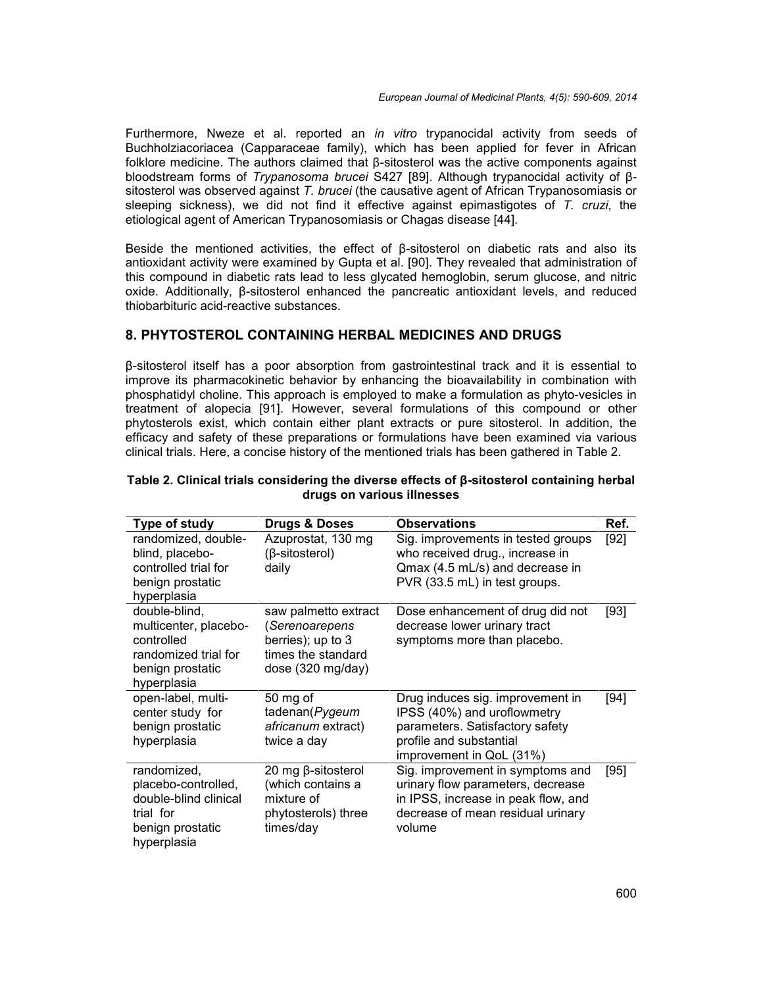Furthermore, Nweze et al. reported an *in vitro* trypanocidal activity from seeds of Buchholziacoriacea (Capparaceae family), which has been applied for fever in African folklore medicine. The authors claimed that β-sitosterol was the active components against bloodstream forms of *Trypanosoma brucei* S427 [89]. Although trypanocidal activity of β sitosterol was observed against *T. brucei* (the causative agent of African Trypanosomiasis or sleeping sickness), we did not find it effective against epimastigotes of *T. cruzi*, the etiological agent of American Trypanosomiasis or Chagas disease [44].

Beside the mentioned activities, the effect of β-sitosterol on diabetic rats and also its antioxidant activity were examined by Gupta et al. [90]. They revealed that administration of this compound in diabetic rats lead to less glycated hemoglobin, serum glucose, and nitric oxide. Additionally, β-sitosterol enhanced the pancreatic antioxidant levels, and reduced thiobarbituric acid-reactive substances.

## **8. PHYTOSTEROL CONTAINING HERBAL MEDICINES AND DRUGS**

β-sitosterol itself has a poor absorption from gastrointestinal track and it is essential to improve its pharmacokinetic behavior by enhancing the bioavailability in combination with phosphatidyl choline. This approach is employed to make a formulation as phyto-vesicles in treatment of alopecia [91]. However, several formulations of this compound or other phytosterols exist, which contain either plant extracts or pure sitosterol. In addition, the efficacy and safety of these preparations or formulations have been examined via various clinical trials. Here, a concise history of the mentioned trials has been gathered in Table 2.

| Type of study                                                                                                   | <b>Drugs &amp; Doses</b>                                                                               | <b>Observations</b>                                                                                                                                         | Ref. |
|-----------------------------------------------------------------------------------------------------------------|--------------------------------------------------------------------------------------------------------|-------------------------------------------------------------------------------------------------------------------------------------------------------------|------|
| randomized, double-<br>blind, placebo-<br>controlled trial for<br>benign prostatic<br>hyperplasia               | Azuprostat, 130 mg<br>$(\beta\text{-sitosterol})$<br>daily                                             | Sig. improvements in tested groups<br>who received drug., increase in<br>Qmax (4.5 mL/s) and decrease in<br>PVR (33.5 mL) in test groups.                   | [92] |
| double-blind,<br>multicenter, placebo-<br>controlled<br>randomized trial for<br>benign prostatic<br>hyperplasia | saw palmetto extract<br>(Serenoarepens<br>berries); up to 3<br>times the standard<br>dose (320 mg/day) | Dose enhancement of drug did not<br>decrease lower urinary tract<br>symptoms more than placebo.                                                             | [93] |
| open-label, multi-<br>center study for<br>benign prostatic<br>hyperplasia                                       | 50 mg of<br>tadenan(Pygeum<br>africanum extract)<br>twice a day                                        | Drug induces sig. improvement in<br>IPSS (40%) and uroflowmetry<br>parameters. Satisfactory safety<br>profile and substantial<br>improvement in QoL (31%)   | [94] |
| randomized,<br>placebo-controlled,<br>double-blind clinical<br>trial for<br>benign prostatic<br>hyperplasia     | 20 mg β-sitosterol<br>(which contains a<br>mixture of<br>phytosterols) three<br>times/day              | Sig. improvement in symptoms and<br>urinary flow parameters, decrease<br>in IPSS, increase in peak flow, and<br>decrease of mean residual urinary<br>volume | [95] |

#### **Table 2. Clinical trials considering the diverse effects of β-sitosterol containing herbal drugs on various illnesses**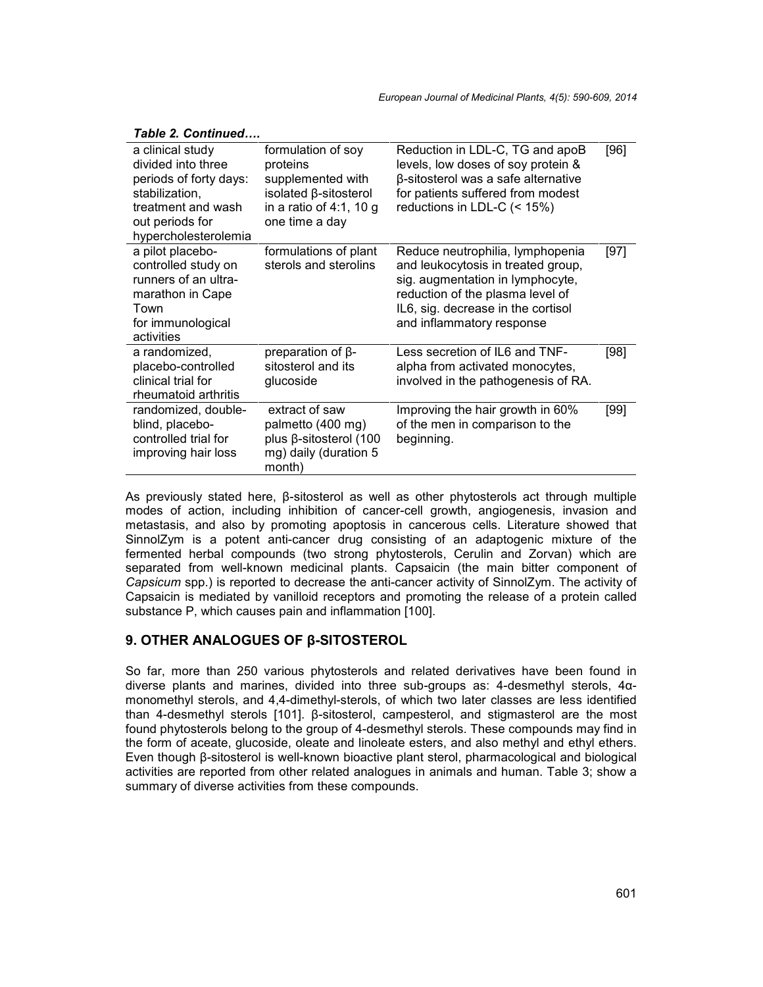| formulation of soy<br>proteins<br>supplemented with<br>isolated β-sitosterol<br>in a ratio of 4:1, 10 g<br>one time a day | Reduction in LDL-C, TG and apoB<br>levels, low doses of soy protein &<br>β-sitosterol was a safe alternative<br>for patients suffered from modest<br>reductions in LDL-C (< 15%)                                  | [96]   |
|---------------------------------------------------------------------------------------------------------------------------|-------------------------------------------------------------------------------------------------------------------------------------------------------------------------------------------------------------------|--------|
| formulations of plant<br>sterols and sterolins                                                                            | Reduce neutrophilia, lymphopenia<br>and leukocytosis in treated group,<br>sig. augmentation in lymphocyte,<br>reduction of the plasma level of<br>IL6, sig. decrease in the cortisol<br>and inflammatory response | $[97]$ |
| preparation of $\beta$ -<br>sitosterol and its<br>glucoside                                                               | Less secretion of IL6 and TNF-<br>alpha from activated monocytes,<br>involved in the pathogenesis of RA.                                                                                                          | [98]   |
| extract of saw<br>palmetto (400 mg)<br>plus β-sitosterol (100<br>mg) daily (duration 5<br>month)                          | Improving the hair growth in 60%<br>of the men in comparison to the<br>beginning.                                                                                                                                 | [99]   |
|                                                                                                                           |                                                                                                                                                                                                                   |        |

#### *Table 2. Continued….*

As previously stated here, β-sitosterol as well as other phytosterols act through multiple modes of action, including inhibition of cancer-cell growth, angiogenesis, invasion and metastasis, and also by promoting apoptosis in cancerous cells. Literature showed that SinnolZym is a potent anti-cancer drug consisting of an adaptogenic mixture of the fermented herbal compounds (two strong phytosterols, Cerulin and Zorvan) which are separated from well-known medicinal plants. Capsaicin (the main bitter component of *Capsicum* spp.) is reported to decrease the anti-cancer activity of SinnolZym. The activity of Capsaicin is mediated by vanilloid receptors and promoting the release of a protein called substance P, which causes pain and inflammation [100].

# **9. OTHER ANALOGUES OF β-SITOSTEROL**

So far, more than 250 various phytosterols and related derivatives have been found in diverse plants and marines, divided into three sub-groups as: 4-desmethyl sterols, 4α monomethyl sterols, and 4,4-dimethyl-sterols, of which two later classes are less identified than 4-desmethyl sterols [101]. β-sitosterol, campesterol, and stigmasterol are the most found phytosterols belong to the group of 4-desmethyl sterols. These compounds may find in the form of aceate, glucoside, oleate and linoleate esters, and also methyl and ethyl ethers. Even though β-sitosterol is well-known bioactive plant sterol, pharmacological and biological activities are reported from other related analogues in animals and human. Table 3; show a summary of diverse activities from these compounds.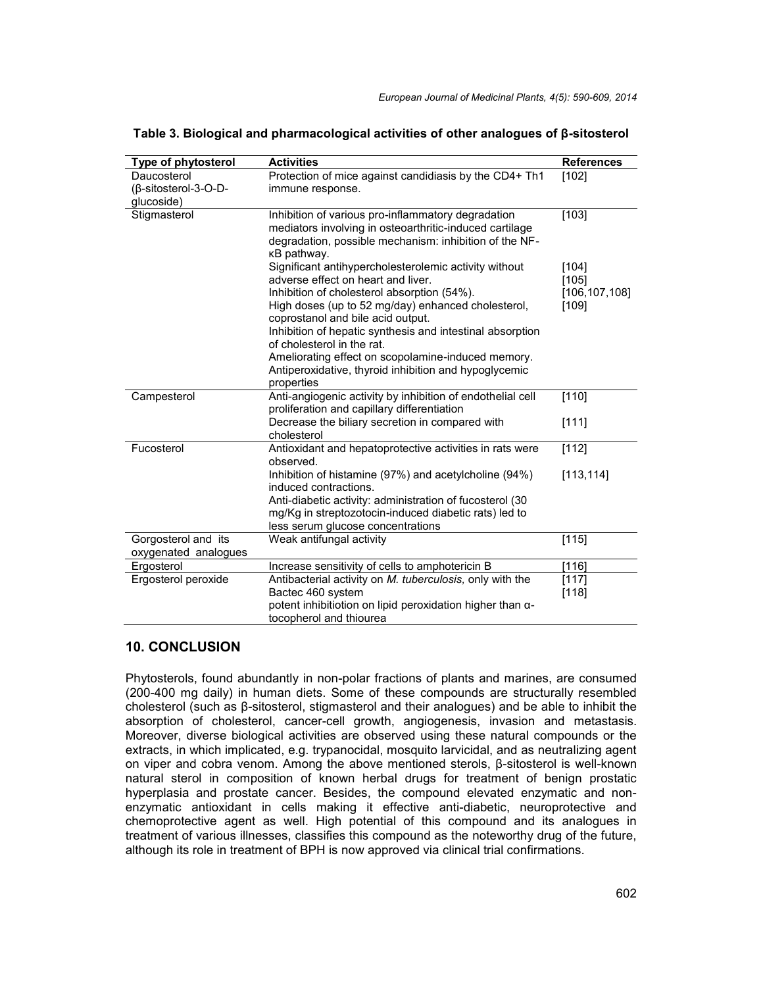| Type of phytosterol                               | <b>Activities</b>                                                                                                                                                                                                                                                                                                                                                                                                                                             | <b>References</b>                          |
|---------------------------------------------------|---------------------------------------------------------------------------------------------------------------------------------------------------------------------------------------------------------------------------------------------------------------------------------------------------------------------------------------------------------------------------------------------------------------------------------------------------------------|--------------------------------------------|
| Daucosterol<br>(β-sitosterol-3-O-D-<br>glucoside) | Protection of mice against candidiasis by the CD4+ Th1<br>immune response.                                                                                                                                                                                                                                                                                                                                                                                    | [102]                                      |
| Stigmasterol                                      | Inhibition of various pro-inflammatory degradation<br>mediators involving in osteoarthritic-induced cartilage<br>degradation, possible mechanism: inhibition of the NF-<br>κB pathway.                                                                                                                                                                                                                                                                        | [103]                                      |
|                                                   | Significant antihypercholesterolemic activity without<br>adverse effect on heart and liver.<br>Inhibition of cholesterol absorption (54%).<br>High doses (up to 52 mg/day) enhanced cholesterol,<br>coprostanol and bile acid output.<br>Inhibition of hepatic synthesis and intestinal absorption<br>of cholesterol in the rat.<br>Ameliorating effect on scopolamine-induced memory.<br>Antiperoxidative, thyroid inhibition and hypoglycemic<br>properties | [104]<br>[105]<br>[106, 107, 108]<br>[109] |
| Campesterol                                       | Anti-angiogenic activity by inhibition of endothelial cell<br>proliferation and capillary differentiation                                                                                                                                                                                                                                                                                                                                                     | [110]                                      |
|                                                   | Decrease the biliary secretion in compared with<br>cholesterol                                                                                                                                                                                                                                                                                                                                                                                                | [111]                                      |
| Fucosterol                                        | Antioxidant and hepatoprotective activities in rats were<br>observed.                                                                                                                                                                                                                                                                                                                                                                                         | [112]                                      |
|                                                   | Inhibition of histamine (97%) and acetylcholine (94%)<br>induced contractions.<br>Anti-diabetic activity: administration of fucosterol (30<br>mg/Kg in streptozotocin-induced diabetic rats) led to<br>less serum glucose concentrations                                                                                                                                                                                                                      | [113, 114]                                 |
| Gorgosterol and its<br>oxygenated analogues       | Weak antifungal activity                                                                                                                                                                                                                                                                                                                                                                                                                                      | [115]                                      |
| Ergosterol                                        | Increase sensitivity of cells to amphotericin B                                                                                                                                                                                                                                                                                                                                                                                                               | [116]                                      |
| Ergosterol peroxide                               | Antibacterial activity on M. tuberculosis, only with the<br>Bactec 460 system<br>potent inhibitiotion on lipid peroxidation higher than $\alpha$ -<br>tocopherol and thiourea                                                                                                                                                                                                                                                                                 | [117]<br>[118]                             |

**Table 3. Biological and pharmacological activities of other analogues of β-sitosterol**

# **10. CONCLUSION**

Phytosterols, found abundantly in non-polar fractions of plants and marines, are consumed (200-400 mg daily) in human diets. Some of these compounds are structurally resembled cholesterol (such as β-sitosterol, stigmasterol and their analogues) and be able to inhibit the absorption of cholesterol, cancer-cell growth, angiogenesis, invasion and metastasis. Moreover, diverse biological activities are observed using these natural compounds or the extracts, in which implicated, e.g. trypanocidal, mosquito larvicidal, and as neutralizing agent on viper and cobra venom. Among the above mentioned sterols, β-sitosterol is well-known natural sterol in composition of known herbal drugs for treatment of benign prostatic hyperplasia and prostate cancer. Besides, the compound elevated enzymatic and non enzymatic antioxidant in cells making it effective anti-diabetic, neuroprotective and chemoprotective agent as well. High potential of this compound and its analogues in treatment of various illnesses, classifies this compound as the noteworthy drug of the future, although its role in treatment of BPH is now approved via clinical trial confirmations.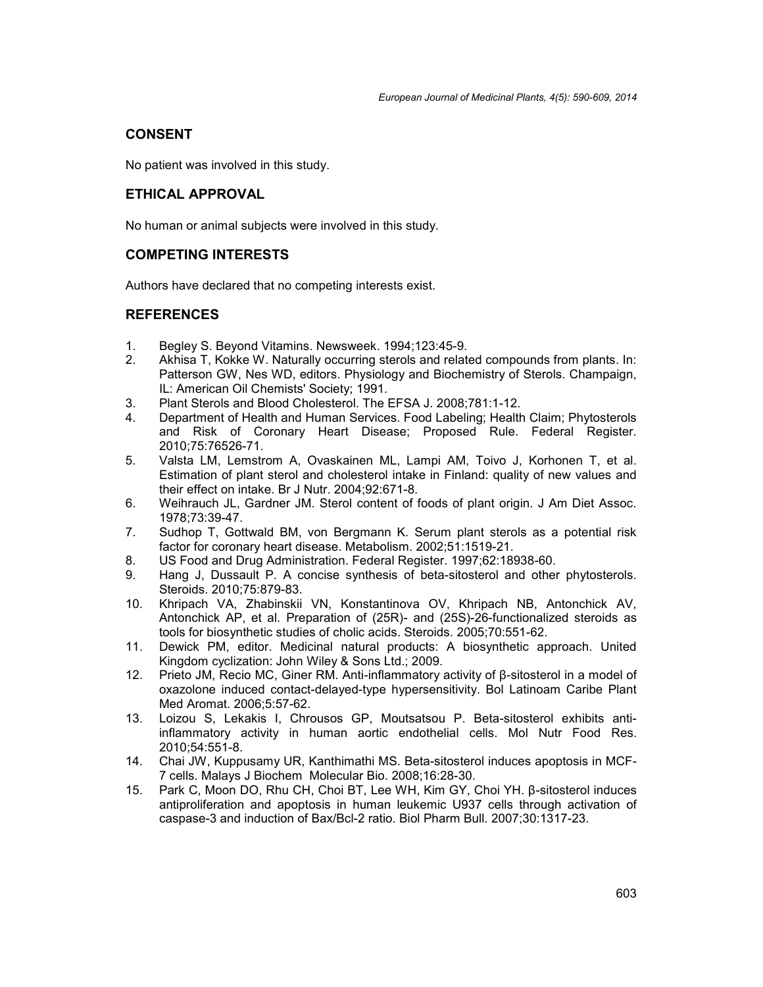## **CONSENT**

No patient was involved in this study.

## **ETHICAL APPROVAL**

No human or animal subjects were involved in this study.

#### **COMPETING INTERESTS**

Authors have declared that no competing interests exist.

#### **REFERENCES**

- 1. Begley S. Beyond Vitamins. Newsweek. 1994;123:45-9.
- 2. Akhisa T, Kokke W. Naturally occurring sterols and related compounds from plants. In: Patterson GW, Nes WD, editors. Physiology and Biochemistry of Sterols. Champaign, IL: American Oil Chemists' Society; 1991.
- 3. Plant Sterols and Blood Cholesterol. The EFSA J. 2008;781:1-12.
- 4. Department of Health and Human Services. Food Labeling; Health Claim; Phytosterols and Risk of Coronary Heart Disease; Proposed Rule. Federal Register. 2010;75:76526-71.
- 5. Valsta LM, Lemstrom A, Ovaskainen ML, Lampi AM, Toivo J, Korhonen T, et al. Estimation of plant sterol and cholesterol intake in Finland: quality of new values and their effect on intake. Br J Nutr. 2004;92:671-8.
- 6. Weihrauch JL, Gardner JM. Sterol content of foods of plant origin. J Am Diet Assoc. 1978;73:39-47.
- 7. Sudhop T, Gottwald BM, von Bergmann K. Serum plant sterols as a potential risk factor for coronary heart disease. Metabolism. 2002;51:1519-21.
- 8. US Food and Drug Administration. Federal Register. 1997;62:18938-60.
- 9. Hang J, Dussault P. A concise synthesis of beta-sitosterol and other phytosterols. Steroids. 2010;75:879-83.
- 10. Khripach VA, Zhabinskii VN, Konstantinova OV, Khripach NB, Antonchick AV, Antonchick AP, et al. Preparation of (25R)- and (25S)-26-functionalized steroids as tools for biosynthetic studies of cholic acids. Steroids. 2005;70:551-62.
- 11. Dewick PM, editor. Medicinal natural products: A biosynthetic approach. United Kingdom cyclization: John Wiley & Sons Ltd.; 2009.
- 12. Prieto JM, Recio MC, Giner RM. Anti-inflammatory activity of β-sitosterol in a model of oxazolone induced contact-delayed-type hypersensitivity. Bol Latinoam Caribe Plant Med Aromat. 2006;5:57-62.
- 13. Loizou S, Lekakis I, Chrousos GP, Moutsatsou P. Beta-sitosterol exhibits antiinflammatory activity in human aortic endothelial cells. Mol Nutr Food Res. 2010;54:551-8.
- 14. Chai JW, Kuppusamy UR, Kanthimathi MS. Beta-sitosterol induces apoptosis in MCF- 7 cells. Malays J Biochem Molecular Bio. 2008;16:28-30.
- 15. Park C, Moon DO, Rhu CH, Choi BT, Lee WH, Kim GY, Choi YH. β-sitosterol induces antiproliferation and apoptosis in human leukemic U937 cells through activation of caspase-3 and induction of Bax/Bcl-2 ratio. Biol Pharm Bull. 2007;30:1317-23.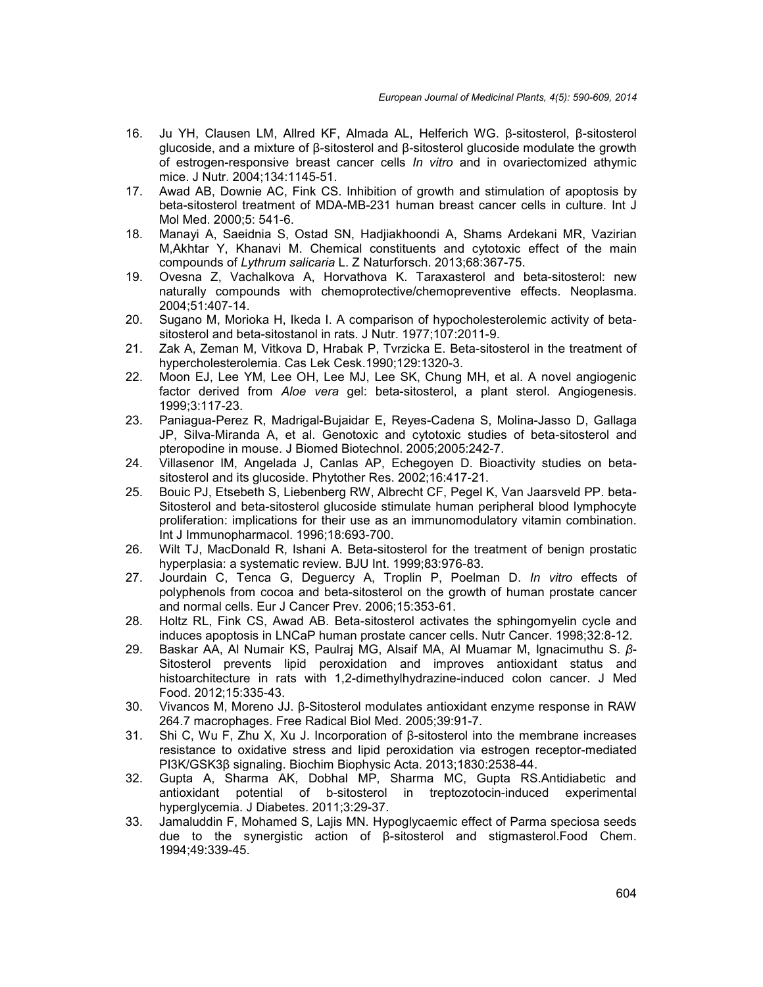- 16. Ju YH, Clausen LM, Allred KF, Almada AL, Helferich WG. β-sitosterol, β-sitosterol glucoside, and a mixture of β-sitosterol and β-sitosterol glucoside modulate the growth of estrogen-responsive breast cancer cells *In vitro* and in ovariectomized athymic mice. J Nutr. 2004;134:1145-51.
- 17. Awad AB, Downie AC, Fink CS. Inhibition of growth and stimulation of apoptosis by beta-sitosterol treatment of MDA-MB-231 human breast cancer cells in culture. Int J Mol Med. 2000;5: 541-6.
- 18. Manayi A, Saeidnia S, Ostad SN, Hadjiakhoondi A, Shams Ardekani MR, Vazirian M,Akhtar Y, Khanavi M. Chemical constituents and cytotoxic effect of the main compounds of *Lythrum salicaria* L. Z Naturforsch. 2013;68:367-75.
- 19. Ovesna Z, Vachalkova A, Horvathova K. Taraxasterol and beta-sitosterol: new naturally compounds with chemoprotective/chemopreventive effects. Neoplasma. 2004;51:407-14.
- 20. Sugano M, Morioka H, Ikeda I. A comparison of hypocholesterolemic activity of beta sitosterol and beta-sitostanol in rats. J Nutr. 1977;107:2011-9.
- 21. Zak A, Zeman M, Vitkova D, Hrabak P, Tvrzicka E. Beta-sitosterol in the treatment of hypercholesterolemia. Cas Lek Cesk.1990;129:1320-3.
- 22. Moon EJ, Lee YM, Lee OH, Lee MJ, Lee SK, Chung MH, et al. A novel angiogenic factor derived from *Aloe vera* gel: beta-sitosterol, a plant sterol. Angiogenesis. 1999;3:117-23.
- 23. Paniagua-Perez R, Madrigal-Bujaidar E, Reyes-Cadena S, Molina-Jasso D, Gallaga JP, Silva-Miranda A, et al. Genotoxic and cytotoxic studies of beta-sitosterol and pteropodine in mouse. J Biomed Biotechnol. 2005;2005:242-7.
- 24. Villasenor IM, Angelada J, Canlas AP, Echegoyen D. Bioactivity studies on beta sitosterol and its glucoside. Phytother Res. 2002;16:417-21.
- 25. Bouic PJ, Etsebeth S, Liebenberg RW, Albrecht CF, Pegel K, Van Jaarsveld PP. beta- Sitosterol and beta-sitosterol glucoside stimulate human peripheral blood lymphocyte proliferation: implications for their use as an immunomodulatory vitamin combination. Int J Immunopharmacol. 1996;18:693-700.
- 26. Wilt TJ, MacDonald R, Ishani A. Beta-sitosterol for the treatment of benign prostatic hyperplasia: a systematic review. BJU Int. 1999;83:976-83.
- 27. Jourdain C, Tenca G, Deguercy A, Troplin P, Poelman D. *In vitro* effects of polyphenols from cocoa and beta-sitosterol on the growth of human prostate cancer and normal cells. Eur J Cancer Prev. 2006;15:353-61.
- 28. Holtz RL, Fink CS, Awad AB. Beta-sitosterol activates the sphingomyelin cycle and induces apoptosis in LNCaP human prostate cancer cells. Nutr Cancer. 1998;32:8-12.
- 29. Baskar AA, Al Numair KS, Paulraj MG, Alsaif MA, Al Muamar M, Ignacimuthu S. *β* Sitosterol prevents lipid peroxidation and improves antioxidant status and histoarchitecture in rats with 1,2-dimethylhydrazine-induced colon cancer. J Med Food. 2012;15:335-43.
- 30. Vivancos M, Moreno JJ. β-Sitosterol modulates antioxidant enzyme response in RAW 264.7 macrophages. Free Radical Biol Med. 2005;39:91-7.
- 31. Shi C, Wu F, Zhu X, Xu J. Incorporation of β-sitosterol into the membrane increases resistance to oxidative stress and lipid peroxidation via estrogen receptor-mediated PI3K/GSK3β signaling. Biochim Biophysic Acta. 2013;1830:2538-44.
- 32. Gupta A, Sharma AK, Dobhal MP, Sharma MC, Gupta RS.Antidiabetic and antioxidant potential of b-sitosterol in treptozotocin-induced experimental hyperglycemia. J Diabetes. 2011;3:29-37.
- 33. Jamaluddin F, Mohamed S, Lajis MN. Hypoglycaemic effect of Parma speciosa seeds due to the synergistic action of β-sitosterol and stigmasterol.Food Chem. 1994;49:339-45.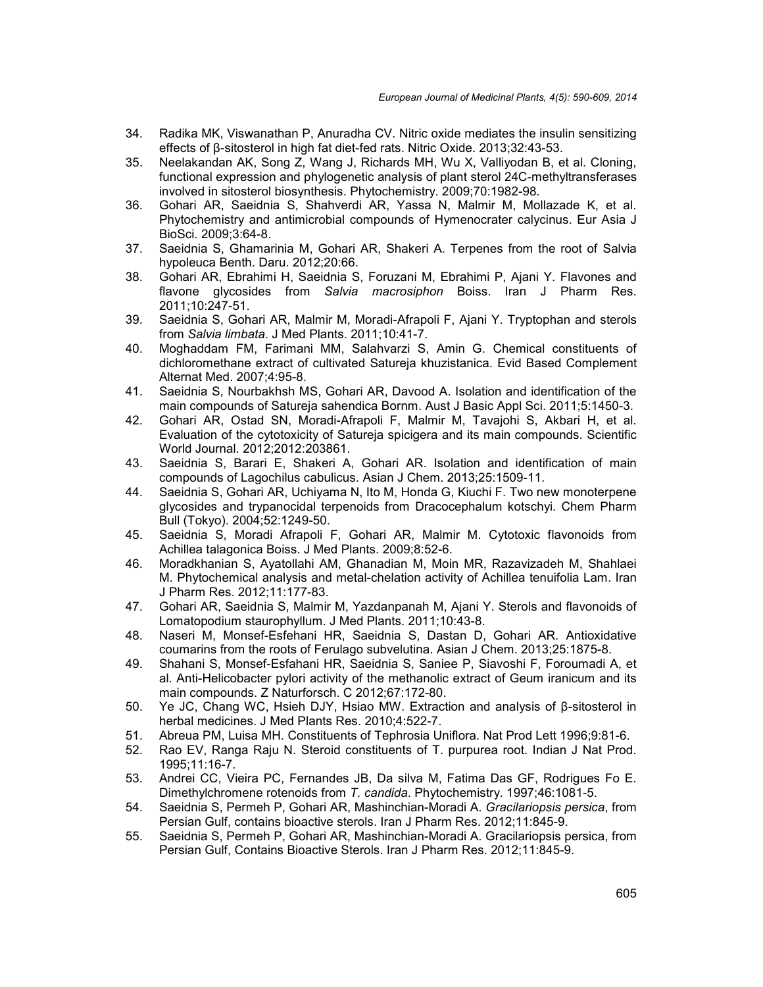- 34. Radika MK, Viswanathan P, Anuradha CV. Nitric oxide mediates the insulin sensitizing effects of β-sitosterol in high fat diet-fed rats. Nitric Oxide. 2013;32:43-53.
- 35. Neelakandan AK, Song Z, Wang J, Richards MH, Wu X, Valliyodan B, et al. Cloning, functional expression and phylogenetic analysis of plant sterol 24C-methyltransferases involved in sitosterol biosynthesis. Phytochemistry. 2009;70:1982-98.
- 36. Gohari AR, Saeidnia S, Shahverdi AR, Yassa N, Malmir M, Mollazade K, et al. Phytochemistry and antimicrobial compounds of Hymenocrater calycinus. Eur Asia J BioSci. 2009;3:64-8.
- 37. Saeidnia S, Ghamarinia M, Gohari AR, Shakeri A. Terpenes from the root of Salvia hypoleuca Benth. Daru. 2012;20:66.
- 38. Gohari AR, Ebrahimi H, Saeidnia S, Foruzani M, Ebrahimi P, Ajani Y. Flavones and flavone glycosides from *Salvia macrosiphon* Boiss. Iran J Pharm Res. 2011;10:247-51.
- 39. Saeidnia S, Gohari AR, Malmir M, Moradi-Afrapoli F, Ajani Y. Tryptophan and sterols from *Salvia limbata*. J Med Plants. 2011;10:41-7.
- 40. Moghaddam FM, Farimani MM, Salahvarzi S, Amin G. Chemical constituents of dichloromethane extract of cultivated Satureja khuzistanica. Evid Based Complement Alternat Med. 2007;4:95-8.
- 41. Saeidnia S, Nourbakhsh MS, Gohari AR, Davood A. Isolation and identification of the main compounds of Satureja sahendica Bornm. Aust J Basic Appl Sci. 2011;5:1450-3.
- 42. Gohari AR, Ostad SN, Moradi-Afrapoli F, Malmir M, Tavajohi S, Akbari H, et al. Evaluation of the cytotoxicity of Satureja spicigera and its main compounds. Scientific World Journal. 2012;2012:203861.
- 43. Saeidnia S, Barari E, Shakeri A, Gohari AR. Isolation and identification of main compounds of Lagochilus cabulicus. Asian J Chem. 2013;25:1509-11.
- 44. Saeidnia S, Gohari AR, Uchiyama N, Ito M, Honda G, Kiuchi F. Two new monoterpene glycosides and trypanocidal terpenoids from Dracocephalum kotschyi. Chem Pharm Bull (Tokyo). 2004;52:1249-50.
- 45. Saeidnia S, Moradi Afrapoli F, Gohari AR, Malmir M. Cytotoxic flavonoids from Achillea talagonica Boiss. J Med Plants. 2009;8:52-6.
- 46. Moradkhanian S, Ayatollahi AM, Ghanadian M, Moin MR, Razavizadeh M, Shahlaei M. Phytochemical analysis and metal-chelation activity of Achillea tenuifolia Lam. Iran J Pharm Res. 2012;11:177-83.
- 47. Gohari AR, Saeidnia S, Malmir M, Yazdanpanah M, Ajani Y. Sterols and flavonoids of Lomatopodium staurophyllum. J Med Plants. 2011;10:43-8.
- 48. Naseri M, Monsef-Esfehani HR, Saeidnia S, Dastan D, Gohari AR. Antioxidative coumarins from the roots of Ferulago subvelutina. Asian J Chem. 2013;25:1875-8.
- 49. Shahani S, Monsef-Esfahani HR, Saeidnia S, Saniee P, Siavoshi F, Foroumadi A, et al. Anti-Helicobacter pylori activity of the methanolic extract of Geum iranicum and its main compounds. Z Naturforsch. C 2012;67:172-80.
- 50. Ye JC, Chang WC, Hsieh DJY, Hsiao MW. Extraction and analysis of β-sitosterol in herbal medicines. J Med Plants Res. 2010;4:522-7.
- 51. Abreua PM, Luisa MH. Constituents of Tephrosia Uniflora. Nat Prod Lett 1996;9:81-6.
- 52. Rao EV, Ranga Raju N. Steroid constituents of T. purpurea root. Indian J Nat Prod. 1995;11:16-7.
- 53. Andrei CC, Vieira PC, Fernandes JB, Da silva M, Fatima Das GF, Rodrigues Fo E. Dimethylchromene rotenoids from *T. candida*. Phytochemistry. 1997;46:1081-5.
- 54. Saeidnia S, Permeh P, Gohari AR, Mashinchian-Moradi A. *Gracilariopsis persica*, from Persian Gulf, contains bioactive sterols. Iran J Pharm Res. 2012;11:845-9.
- 55. Saeidnia S, Permeh P, Gohari AR, Mashinchian-Moradi A. Gracilariopsis persica, from Persian Gulf, Contains Bioactive Sterols. Iran J Pharm Res. 2012;11:845-9.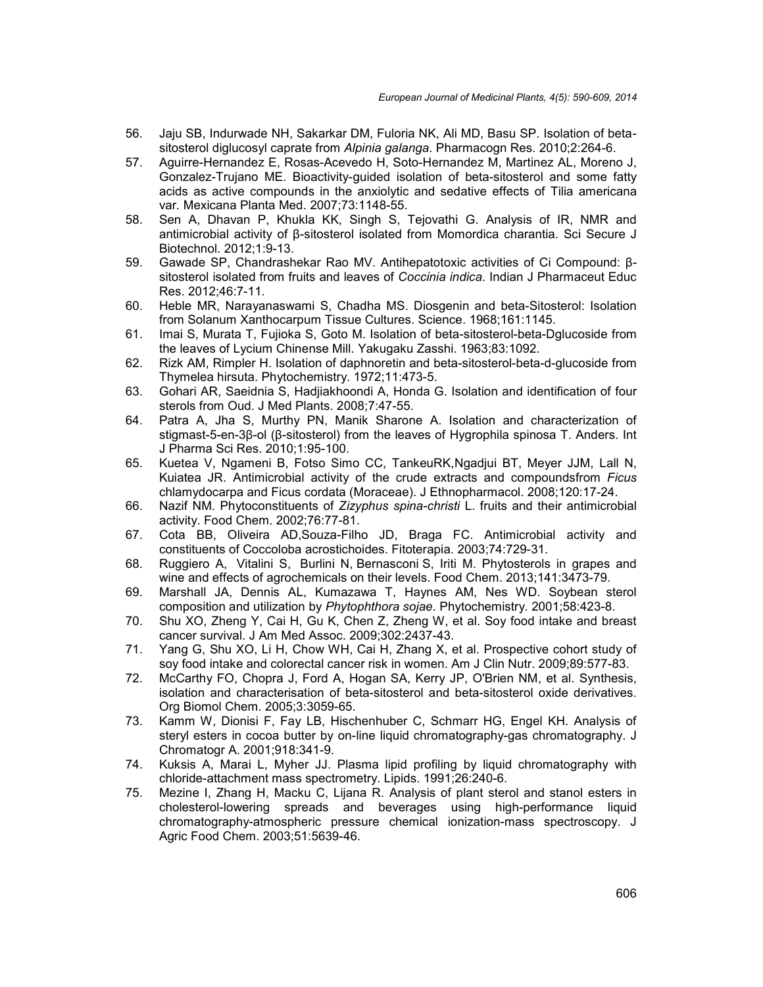- 56. Jaju SB, Indurwade NH, Sakarkar DM, Fuloria NK, Ali MD, Basu SP. Isolation of beta sitosterol diglucosyl caprate from *Alpinia galanga*. Pharmacogn Res. 2010;2:264-6.
- 57. Aguirre-Hernandez E, Rosas-Acevedo H, Soto-Hernandez M, Martinez AL, Moreno J, Gonzalez-Trujano ME. Bioactivity-guided isolation of beta-sitosterol and some fatty acids as active compounds in the anxiolytic and sedative effects of Tilia americana var*.* Mexicana Planta Med. 2007;73:1148-55.
- 58. Sen A, Dhavan P, Khukla KK, Singh S, Tejovathi G. Analysis of IR, NMR and antimicrobial activity of β-sitosterol isolated from Momordica charantia. Sci Secure J Biotechnol. 2012;1:9-13.
- 59. Gawade SP, Chandrashekar Rao MV. Antihepatotoxic activities of Ci Compound: β sitosterol isolated from fruits and leaves of *Coccinia indica*. Indian J Pharmaceut Educ Res. 2012;46:7-11.
- 60. Heble MR, Narayanaswami S, Chadha MS. Diosgenin and beta-Sitosterol: Isolation from Solanum Xanthocarpum Tissue Cultures. Science. 1968;161:1145.
- 61. Imai S, Murata T, Fujioka S, Goto M. Isolation of beta-sitosterol-beta-Dglucoside from the leaves of Lycium Chinense Mill. Yakugaku Zasshi. 1963;83:1092.
- 62. Rizk AM, Rimpler H. Isolation of daphnoretin and beta-sitosterol-beta-d-glucoside from Thymelea hirsuta. Phytochemistry. 1972;11:473-5.
- 63. Gohari AR, Saeidnia S, Hadjiakhoondi A, Honda G. Isolation and identification of four sterols from Oud. J Med Plants. 2008;7:47-55.
- 64. Patra A, Jha S, Murthy PN, Manik Sharone A. Isolation and characterization of stigmast-5-en-3β-ol (β-sitosterol) from the leaves of Hygrophila spinosa T. Anders. Int J Pharma Sci Res. 2010;1:95-100.
- 65. Kuetea V, Ngameni B, Fotso Simo CC, TankeuRK,Ngadjui BT, Meyer JJM, Lall N, Kuiatea JR. Antimicrobial activity of the crude extracts and compoundsfrom *Ficus* chlamydocarpa and Ficus cordata (Moraceae). J Ethnopharmacol. 2008;120:17-24.
- 66. Nazif NM. Phytoconstituents of *Zizyphus spina-christi* L. fruits and their antimicrobial activity. Food Chem. 2002;76:77-81.
- 67. Cota BB, Oliveira AD,Souza-Filho JD, Braga FC. Antimicrobial activity and constituents of Coccoloba acrostichoides. Fitoterapia. 2003;74:729-31.
- 68. Ruggiero A, Vitalini S, Burlini N, Bernasconi S, Iriti M. Phytosterols in grapes and wine and effects of agrochemicals on their levels. Food Chem. 2013;141:3473-79.
- 69. Marshall JA, Dennis AL, Kumazawa T, Haynes AM, Nes WD. Soybean sterol composition and utilization by *Phytophthora sojae*. Phytochemistry. 2001;58:423-8.
- 70. Shu XO, Zheng Y, Cai H, Gu K, Chen Z, Zheng W, et al. Soy food intake and breast cancer survival. J Am Med Assoc. 2009;302:2437-43.
- 71. Yang G, Shu XO, Li H, Chow WH, Cai H, Zhang X, et al. Prospective cohort study of soy food intake and colorectal cancer risk in women. Am J Clin Nutr. 2009;89:577-83.
- 72. McCarthy FO, Chopra J, Ford A, Hogan SA, Kerry JP, O'Brien NM, et al. Synthesis, isolation and characterisation of beta-sitosterol and beta-sitosterol oxide derivatives. Org Biomol Chem. 2005;3:3059-65.
- 73. Kamm W, Dionisi F, Fay LB, Hischenhuber C, Schmarr HG, Engel KH. Analysis of steryl esters in cocoa butter by on-line liquid chromatography-gas chromatography. J Chromatogr A. 2001;918:341-9.
- 74. Kuksis A, Marai L, Myher JJ. Plasma lipid profiling by liquid chromatography with chloride-attachment mass spectrometry. Lipids. 1991;26:240-6.
- 75. Mezine I, Zhang H, Macku C, Lijana R. Analysis of plant sterol and stanol esters in cholesterol-lowering spreads and beverages using high-performance liquid chromatography-atmospheric pressure chemical ionization-mass spectroscopy. J Agric Food Chem. 2003;51:5639-46.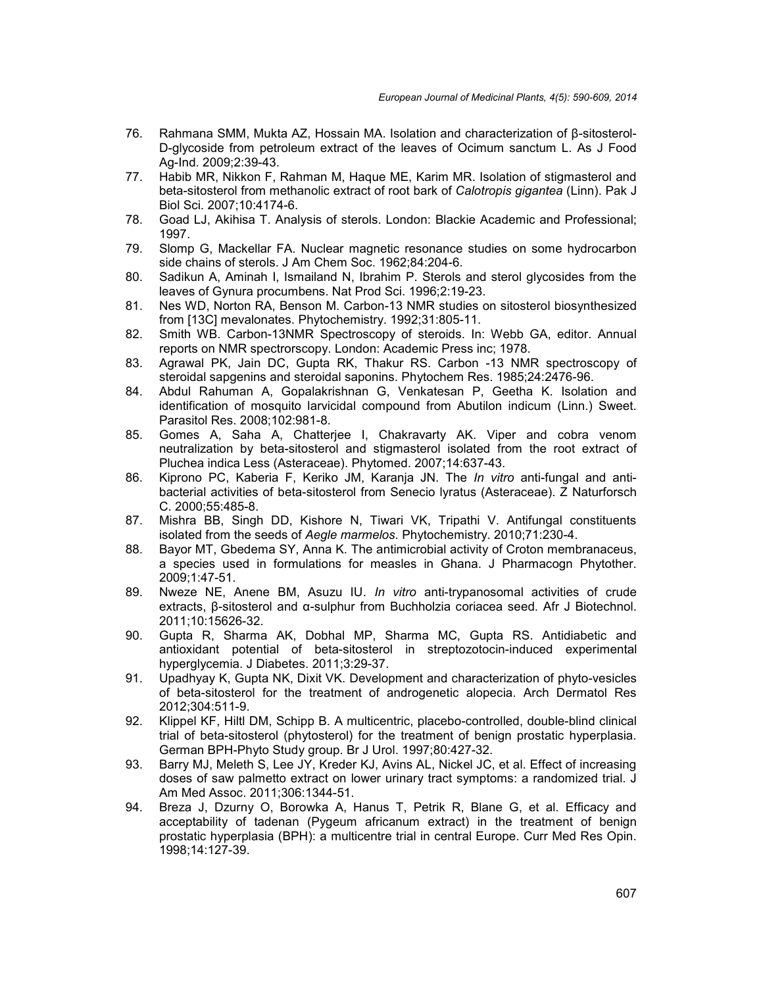- 76. Rahmana SMM, Mukta AZ, Hossain MA. Isolation and characterization of β-sitosterol- D-glycoside from petroleum extract of the leaves of Ocimum sanctum L. As J Food Ag-Ind. 2009;2:39-43.
- 77. Habib MR, Nikkon F, Rahman M, Haque ME, Karim MR. Isolation of stigmasterol and beta-sitosterol from methanolic extract of root bark of *Calotropis gigantea* (Linn). Pak J Biol Sci. 2007;10:4174-6.
- 78. Goad LJ, Akihisa T. Analysis of sterols. London: Blackie Academic and Professional; 1997.
- 79. Slomp G, Mackellar FA. Nuclear magnetic resonance studies on some hydrocarbon side chains of sterols. J Am Chem Soc. 1962;84:204-6.
- 80. Sadikun A, Aminah I, Ismailand N, Ibrahim P. Sterols and sterol glycosides from the leaves of Gynura procumbens. Nat Prod Sci. 1996;2:19-23.
- 81. Nes WD, Norton RA, Benson M. Carbon-13 NMR studies on sitosterol biosynthesized from [13C] mevalonates. Phytochemistry. 1992;31:805-11.
- 82. Smith WB. Carbon-13NMR Spectroscopy of steroids. In: Webb GA, editor. Annual reports on NMR spectrorscopy. London: Academic Press inc; 1978.
- 83. Agrawal PK, Jain DC, Gupta RK, Thakur RS. Carbon -13 NMR spectroscopy of steroidal sapgenins and steroidal saponins. Phytochem Res. 1985;24:2476-96.
- 84. Abdul Rahuman A, Gopalakrishnan G, Venkatesan P, Geetha K. Isolation and identification of mosquito larvicidal compound from Abutilon indicum (Linn.) Sweet. Parasitol Res. 2008;102:981-8.
- 85. Gomes A, Saha A, Chatterjee I, Chakravarty AK. Viper and cobra venom neutralization by beta-sitosterol and stigmasterol isolated from the root extract of Pluchea indica Less (Asteraceae). Phytomed. 2007;14:637-43.
- 86. Kiprono PC, Kaberia F, Keriko JM, Karanja JN. The *In vitro* anti-fungal and anti bacterial activities of beta-sitosterol from Senecio lyratus (Asteraceae). Z Naturforsch C. 2000;55:485-8.
- 87. Mishra BB, Singh DD, Kishore N, Tiwari VK, Tripathi V. Antifungal constituents isolated from the seeds of *Aegle marmelos*. Phytochemistry. 2010;71:230-4.
- 88. Bayor MT, Gbedema SY, Anna K. The antimicrobial activity of Croton membranaceus, a species used in formulations for measles in Ghana. J Pharmacogn Phytother. 2009;1:47-51.
- 89. Nweze NE, Anene BM, Asuzu IU. *In vitro* anti-trypanosomal activities of crude extracts, β-sitosterol and α-sulphur from Buchholzia coriacea seed. Afr J Biotechnol. 2011;10:15626-32.
- 90. Gupta R, Sharma AK, Dobhal MP, Sharma MC, Gupta RS. Antidiabetic and antioxidant potential of beta-sitosterol in streptozotocin-induced experimental hyperglycemia. J Diabetes. 2011;3:29-37.
- 91. Upadhyay K, Gupta NK, Dixit VK. Development and characterization of phyto-vesicles of beta-sitosterol for the treatment of androgenetic alopecia. Arch Dermatol Res 2012;304:511-9.
- 92. Klippel KF, Hiltl DM, Schipp B. A multicentric, placebo-controlled, double-blind clinical trial of beta-sitosterol (phytosterol) for the treatment of benign prostatic hyperplasia. German BPH-Phyto Study group. Br J Urol. 1997;80:427-32.
- 93. Barry MJ, Meleth S, Lee JY, Kreder KJ, Avins AL, Nickel JC, et al. Effect of increasing doses of saw palmetto extract on lower urinary tract symptoms: a randomized trial. J Am Med Assoc. 2011;306:1344-51.
- 94. Breza J, Dzurny O, Borowka A, Hanus T, Petrik R, Blane G, et al. Efficacy and acceptability of tadenan (Pygeum africanum extract) in the treatment of benign prostatic hyperplasia (BPH): a multicentre trial in central Europe. Curr Med Res Opin. 1998;14:127-39.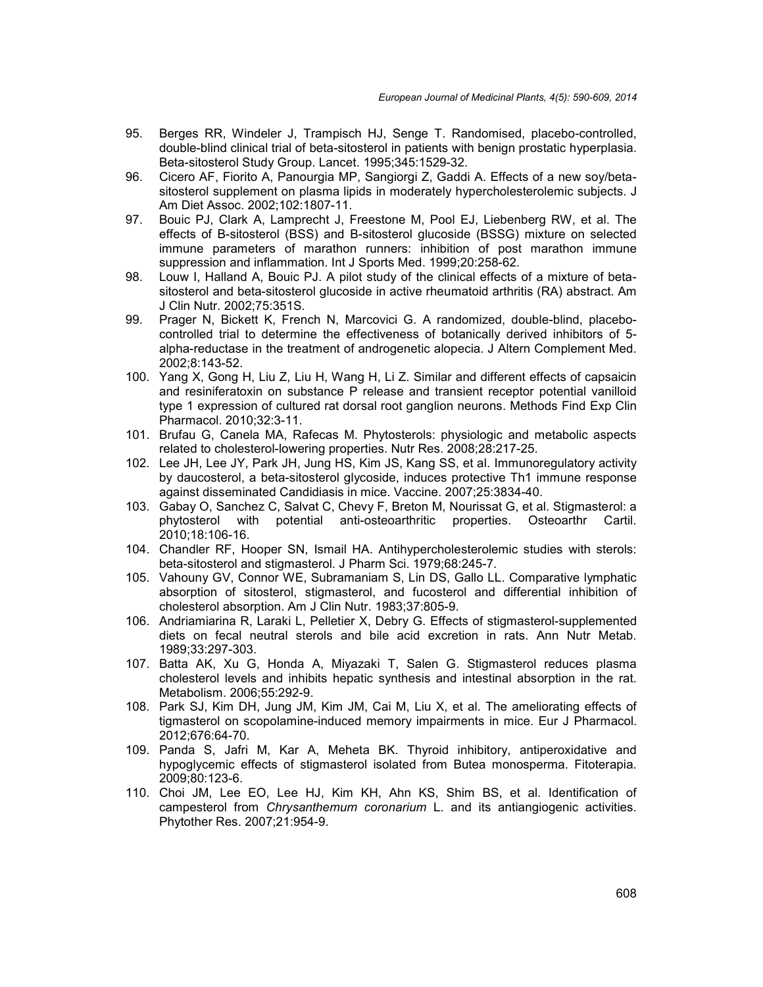- 95. Berges RR, Windeler J, Trampisch HJ, Senge T. Randomised, placebo-controlled, double-blind clinical trial of beta-sitosterol in patients with benign prostatic hyperplasia. Beta-sitosterol Study Group. Lancet. 1995;345:1529-32.
- 96. Cicero AF, Fiorito A, Panourgia MP, Sangiorgi Z, Gaddi A. Effects of a new soy/beta sitosterol supplement on plasma lipids in moderately hypercholesterolemic subjects. J Am Diet Assoc. 2002;102:1807-11.
- 97. Bouic PJ, Clark A, Lamprecht J, Freestone M, Pool EJ, Liebenberg RW, et al. The effects of B-sitosterol (BSS) and B-sitosterol glucoside (BSSG) mixture on selected immune parameters of marathon runners: inhibition of post marathon immune suppression and inflammation. Int J Sports Med. 1999;20:258-62.
- 98. Louw I, Halland A, Bouic PJ. A pilot study of the clinical effects of a mixture of beta sitosterol and beta-sitosterol glucoside in active rheumatoid arthritis (RA) abstract. Am J Clin Nutr. 2002;75:351S.
- 99. Prager N, Bickett K, French N, Marcovici G. A randomized, double-blind, placebo controlled trial to determine the effectiveness of botanically derived inhibitors of 5 alpha-reductase in the treatment of androgenetic alopecia. J Altern Complement Med. 2002;8:143-52.
- 100. Yang X, Gong H, Liu Z, Liu H, Wang H, Li Z. Similar and different effects of capsaicin and resiniferatoxin on substance P release and transient receptor potential vanilloid type 1 expression of cultured rat dorsal root ganglion neurons. Methods Find Exp Clin Pharmacol. 2010;32:3-11.
- 101. Brufau G, Canela MA, Rafecas M. Phytosterols: physiologic and metabolic aspects related to cholesterol-lowering properties. Nutr Res. 2008;28:217-25.
- 102. Lee JH, Lee JY, Park JH, Jung HS, Kim JS, Kang SS, et al. Immunoregulatory activity by daucosterol, a beta-sitosterol glycoside, induces protective Th1 immune response against disseminated Candidiasis in mice. Vaccine. 2007;25:3834-40.
- 103. Gabay O, Sanchez C, Salvat C, Chevy F, Breton M, Nourissat G, et al. Stigmasterol: a phytosterol with potential anti-osteoarthritic properties. Osteoarthr Cartil. 2010;18:106-16.
- 104. Chandler RF, Hooper SN, Ismail HA. Antihypercholesterolemic studies with sterols: beta-sitosterol and stigmasterol. J Pharm Sci. 1979;68:245-7.
- 105. Vahouny GV, Connor WE, Subramaniam S, Lin DS, Gallo LL. Comparative lymphatic absorption of sitosterol, stigmasterol, and fucosterol and differential inhibition of cholesterol absorption. Am J Clin Nutr. 1983;37:805-9.
- 106. Andriamiarina R, Laraki L, Pelletier X, Debry G. Effects of stigmasterol-supplemented diets on fecal neutral sterols and bile acid excretion in rats. Ann Nutr Metab. 1989;33:297-303.
- 107. Batta AK, Xu G, Honda A, Miyazaki T, Salen G. Stigmasterol reduces plasma cholesterol levels and inhibits hepatic synthesis and intestinal absorption in the rat. Metabolism. 2006;55:292-9.
- 108. Park SJ, Kim DH, Jung JM, Kim JM, Cai M, Liu X, et al. The ameliorating effects of tigmasterol on scopolamine-induced memory impairments in mice. Eur J Pharmacol. 2012;676:64-70.
- 109. Panda S, Jafri M, Kar A, Meheta BK. Thyroid inhibitory, antiperoxidative and hypoglycemic effects of stigmasterol isolated from Butea monosperma. Fitoterapia. 2009;80:123-6.
- 110. Choi JM, Lee EO, Lee HJ, Kim KH, Ahn KS, Shim BS, et al. Identification of campesterol from *Chrysanthemum coronarium* L. and its antiangiogenic activities. Phytother Res. 2007;21:954-9.